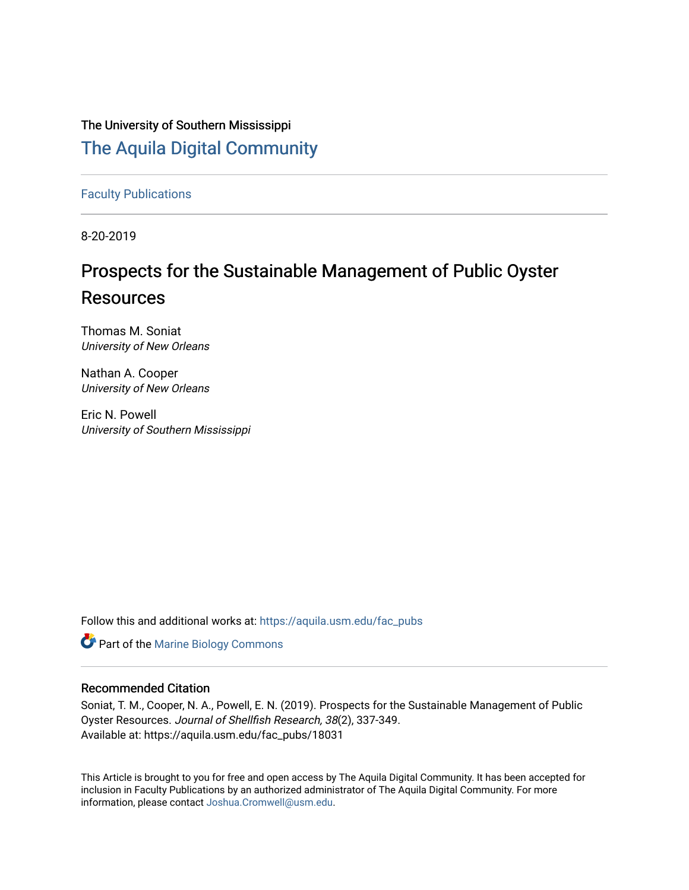## The University of Southern Mississippi [The Aquila Digital Community](https://aquila.usm.edu/)

[Faculty Publications](https://aquila.usm.edu/fac_pubs)

8-20-2019

# Prospects for the Sustainable Management of Public Oyster Resources

Thomas M. Soniat University of New Orleans

Nathan A. Cooper University of New Orleans

Eric N. Powell University of Southern Mississippi

Follow this and additional works at: [https://aquila.usm.edu/fac\\_pubs](https://aquila.usm.edu/fac_pubs?utm_source=aquila.usm.edu%2Ffac_pubs%2F18031&utm_medium=PDF&utm_campaign=PDFCoverPages) 

**Part of the Marine Biology Commons** 

### Recommended Citation

Soniat, T. M., Cooper, N. A., Powell, E. N. (2019). Prospects for the Sustainable Management of Public Oyster Resources. Journal of Shellfish Research, 38(2), 337-349. Available at: https://aquila.usm.edu/fac\_pubs/18031

This Article is brought to you for free and open access by The Aquila Digital Community. It has been accepted for inclusion in Faculty Publications by an authorized administrator of The Aquila Digital Community. For more information, please contact [Joshua.Cromwell@usm.edu.](mailto:Joshua.Cromwell@usm.edu)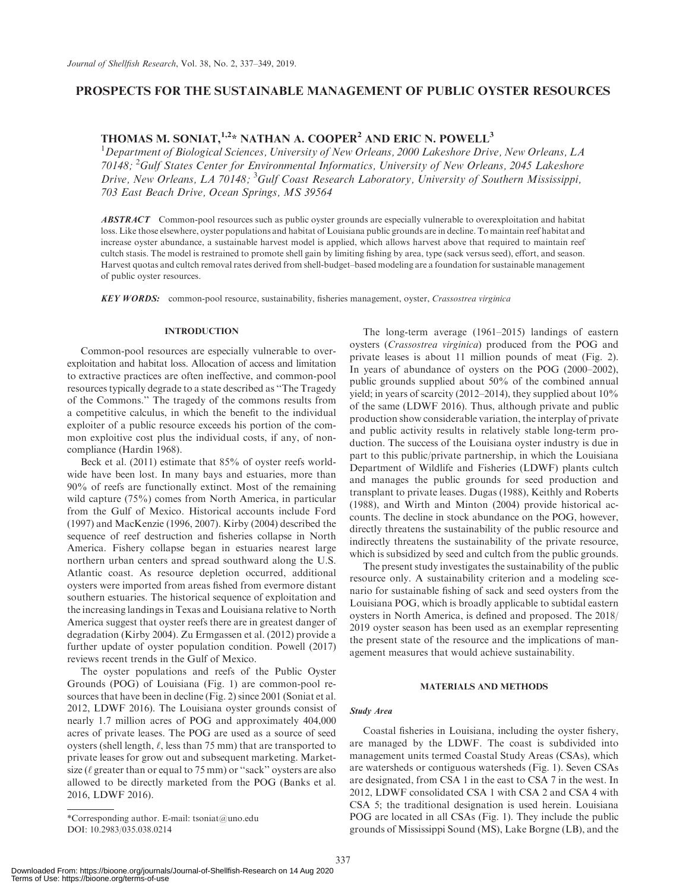### PROSPECTS FOR THE SUSTAINABLE MANAGEMENT OF PUBLIC OYSTER RESOURCES

### THOMAS M. SONIAT,  $1.2*$  NATHAN A. COOPER<sup>2</sup> AND ERIC N. POWELL<sup>3</sup>

<sup>1</sup>Department of Biological Sciences, University of New Orleans, 2000 Lakeshore Drive, New Orleans, LA 70148; <sup>2</sup> Gulf States Center for Environmental Informatics, University of New Orleans, 2045 Lakeshore Drive, New Orleans, LA 70148; <sup>3</sup>Gulf Coast Research Laboratory, University of Southern Mississippi, 703 East Beach Drive, Ocean Springs, MS 39564

**ABSTRACT** Common-pool resources such as public oyster grounds are especially vulnerable to overexploitation and habitat loss. Like those elsewhere, oyster populations and habitat of Louisiana public grounds are in decline. To maintain reef habitat and increase oyster abundance, a sustainable harvest model is applied, which allows harvest above that required to maintain reef cultch stasis. The model is restrained to promote shell gain by limiting fishing by area, type (sack versus seed), effort, and season. Harvest quotas and cultch removal rates derived from shell-budget–based modeling are a foundation for sustainable management of public oyster resources.

KEY WORDS: common-pool resource, sustainability, fisheries management, oyster, Crassostrea virginica

#### INTRODUCTION

Common-pool resources are especially vulnerable to overexploitation and habitat loss. Allocation of access and limitation to extractive practices are often ineffective, and common-pool resources typically degrade to a state described as ''The Tragedy of the Commons.'' The tragedy of the commons results from a competitive calculus, in which the benefit to the individual exploiter of a public resource exceeds his portion of the common exploitive cost plus the individual costs, if any, of noncompliance (Hardin 1968).

Beck et al. (2011) estimate that 85% of oyster reefs worldwide have been lost. In many bays and estuaries, more than 90% of reefs are functionally extinct. Most of the remaining wild capture (75%) comes from North America, in particular from the Gulf of Mexico. Historical accounts include Ford (1997) and MacKenzie (1996, 2007). Kirby (2004) described the sequence of reef destruction and fisheries collapse in North America. Fishery collapse began in estuaries nearest large northern urban centers and spread southward along the U.S. Atlantic coast. As resource depletion occurred, additional oysters were imported from areas fished from evermore distant southern estuaries. The historical sequence of exploitation and the increasing landings in Texas and Louisiana relative to North America suggest that oyster reefs there are in greatest danger of degradation (Kirby 2004). Zu Ermgassen et al. (2012) provide a further update of oyster population condition. Powell (2017) reviews recent trends in the Gulf of Mexico.

The oyster populations and reefs of the Public Oyster Grounds (POG) of Louisiana (Fig. 1) are common-pool resources that have been in decline (Fig. 2) since 2001 (Soniat et al. 2012, LDWF 2016). The Louisiana oyster grounds consist of nearly 1.7 million acres of POG and approximately 404,000 acres of private leases. The POG are used as a source of seed oysters (shell length,  $\ell$ , less than 75 mm) that are transported to private leases for grow out and subsequent marketing. Marketsize ( $\ell$  greater than or equal to 75 mm) or "sack" oysters are also allowed to be directly marketed from the POG (Banks et al. 2016, LDWF 2016).

\*Corresponding author. E-mail: [tsoniat@uno.edu](mailto:tsoniat@uno.edu) DOI: 10.2983/035.038.0214

The long-term average (1961–2015) landings of eastern oysters (Crassostrea virginica) produced from the POG and private leases is about 11 million pounds of meat (Fig. 2). In years of abundance of oysters on the POG (2000–2002), public grounds supplied about 50% of the combined annual yield; in years of scarcity (2012–2014), they supplied about 10% of the same (LDWF 2016). Thus, although private and public production show considerable variation, the interplay of private and public activity results in relatively stable long-term production. The success of the Louisiana oyster industry is due in part to this public/private partnership, in which the Louisiana Department of Wildlife and Fisheries (LDWF) plants cultch and manages the public grounds for seed production and transplant to private leases. Dugas (1988), Keithly and Roberts (1988), and Wirth and Minton (2004) provide historical accounts. The decline in stock abundance on the POG, however, directly threatens the sustainability of the public resource and indirectly threatens the sustainability of the private resource, which is subsidized by seed and cultch from the public grounds.

The present study investigates the sustainability of the public resource only. A sustainability criterion and a modeling scenario for sustainable fishing of sack and seed oysters from the Louisiana POG, which is broadly applicable to subtidal eastern oysters in North America, is defined and proposed. The 2018/ 2019 oyster season has been used as an exemplar representing the present state of the resource and the implications of management measures that would achieve sustainability.

#### MATERIALS AND METHODS

#### Study Area

Coastal fisheries in Louisiana, including the oyster fishery, are managed by the LDWF. The coast is subdivided into management units termed Coastal Study Areas (CSAs), which are watersheds or contiguous watersheds (Fig. 1). Seven CSAs are designated, from CSA 1 in the east to CSA 7 in the west. In 2012, LDWF consolidated CSA 1 with CSA 2 and CSA 4 with CSA 5; the traditional designation is used herein. Louisiana POG are located in all CSAs (Fig. 1). They include the public grounds of Mississippi Sound (MS), Lake Borgne (LB), and the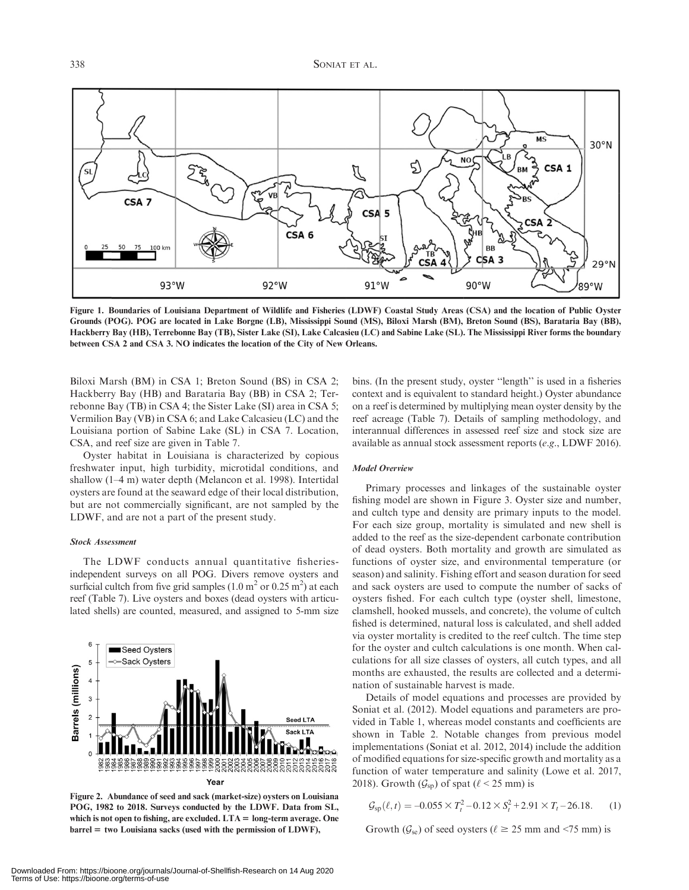

Figure 1. Boundaries of Louisiana Department of Wildlife and Fisheries (LDWF) Coastal Study Areas (CSA) and the location of Public Oyster Grounds (POG). POG are located in Lake Borgne (LB), Mississippi Sound (MS), Biloxi Marsh (BM), Breton Sound (BS), Barataria Bay (BB), Hackberry Bay (HB), Terrebonne Bay (TB), Sister Lake (SI), Lake Calcasieu (LC) and Sabine Lake (SL). The Mississippi River forms the boundary between CSA 2 and CSA 3. NO indicates the location of the City of New Orleans.

Biloxi Marsh (BM) in CSA 1; Breton Sound (BS) in CSA 2; Hackberry Bay (HB) and Barataria Bay (BB) in CSA 2; Terrebonne Bay (TB) in CSA 4; the Sister Lake (SI) area in CSA 5; Vermilion Bay (VB) in CSA 6; and Lake Calcasieu (LC) and the Louisiana portion of Sabine Lake (SL) in CSA 7. Location, CSA, and reef size are given in Table 7.

Oyster habitat in Louisiana is characterized by copious freshwater input, high turbidity, microtidal conditions, and shallow (1–4 m) water depth (Melancon et al. 1998). Intertidal oysters are found at the seaward edge of their local distribution, but are not commercially significant, are not sampled by the LDWF, and are not a part of the present study.

#### Stock Assessment

The LDWF conducts annual quantitative fisheriesindependent surveys on all POG. Divers remove oysters and surficial cultch from five grid samples  $(1.0 \text{ m}^2 \text{ or } 0.25 \text{ m}^2)$  at each reef (Table 7). Live oysters and boxes (dead oysters with articulated shells) are counted, measured, and assigned to 5-mm size



Figure 2. Abundance of seed and sack (market-size) oysters on Louisiana POG, 1982 to 2018. Surveys conducted by the LDWF. Data from SL, which is not open to fishing, are excluded.  $LTA = long-term average$ . One  $barrel =$  two Louisiana sacks (used with the permission of LDWF),

bins. (In the present study, oyster ''length'' is used in a fisheries context and is equivalent to standard height.) Oyster abundance on a reef is determined by multiplying mean oyster density by the reef acreage (Table 7). Details of sampling methodology, and interannual differences in assessed reef size and stock size are available as annual stock assessment reports (e.g., LDWF 2016).

#### Model Overview

Primary processes and linkages of the sustainable oyster fishing model are shown in Figure 3. Oyster size and number, and cultch type and density are primary inputs to the model. For each size group, mortality is simulated and new shell is added to the reef as the size-dependent carbonate contribution of dead oysters. Both mortality and growth are simulated as functions of oyster size, and environmental temperature (or season) and salinity. Fishing effort and season duration for seed and sack oysters are used to compute the number of sacks of oysters fished. For each cultch type (oyster shell, limestone, clamshell, hooked mussels, and concrete), the volume of cultch fished is determined, natural loss is calculated, and shell added via oyster mortality is credited to the reef cultch. The time step for the oyster and cultch calculations is one month. When calculations for all size classes of oysters, all cutch types, and all months are exhausted, the results are collected and a determination of sustainable harvest is made.

Details of model equations and processes are provided by Soniat et al. (2012). Model equations and parameters are provided in Table 1, whereas model constants and coefficients are shown in Table 2. Notable changes from previous model implementations (Soniat et al. 2012, 2014) include the addition of modified equations for size-specific growth and mortality as a function of water temperature and salinity (Lowe et al. 2017, 2018). Growth  $(\mathcal{G}_{sp})$  of spat ( $\ell$  < 25 mm) is

$$
\mathcal{G}_{\rm sp}(\ell, t) = -0.055 \times T_t^2 - 0.12 \times S_t^2 + 2.91 \times T_t - 26.18. \tag{1}
$$

Growth ( $\mathcal{G}_{se}$ ) of seed oysters ( $\ell \geq 25$  mm and <75 mm) is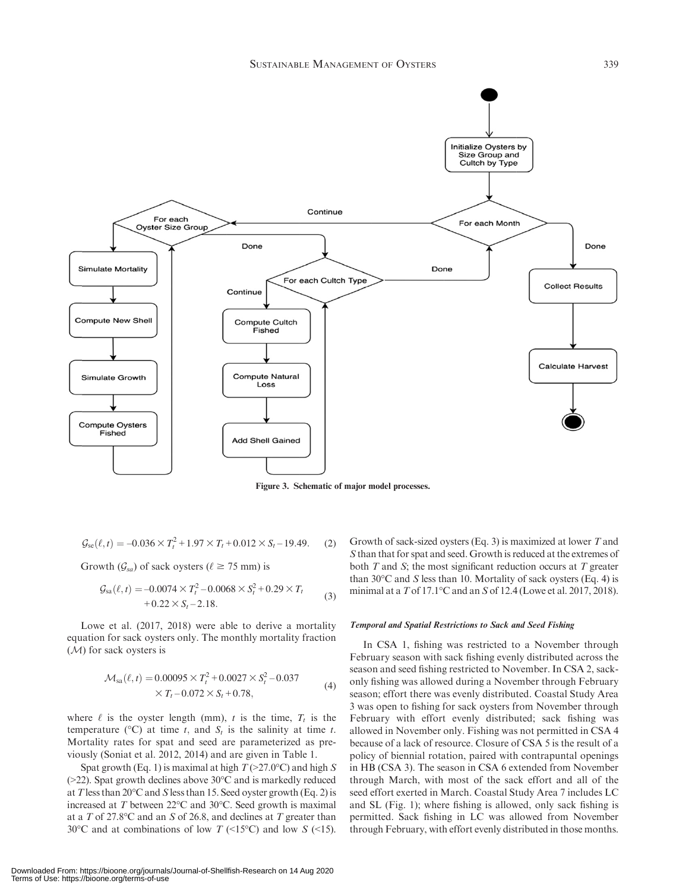

Figure 3. Schematic of major model processes.

$$
\mathcal{G}_{\rm se}(\ell, t) = -0.036 \times T_t^2 + 1.97 \times T_t + 0.012 \times S_t - 19.49. \tag{2}
$$

Growth  $(\mathcal{G}_{sa})$  of sack oysters ( $\ell \ge 75$  mm) is

$$
\mathcal{G}_{sa}(\ell, t) = -0.0074 \times T_t^2 - 0.0068 \times S_t^2 + 0.29 \times T_t + 0.22 \times S_t - 2.18.
$$
\n(3)

Lowe et al. (2017, 2018) were able to derive a mortality equation for sack oysters only. The monthly mortality fraction (M) for sack oysters is

$$
\mathcal{M}_{sa}(\ell, t) = 0.00095 \times T_t^2 + 0.0027 \times S_t^2 - 0.037
$$
  
× T\_t - 0.072 × S\_t + 0.78, (4)

where  $\ell$  is the oyster length (mm), t is the time,  $T_t$  is the temperature ( ${}^{\circ}$ C) at time t, and  $S_t$  is the salinity at time t. Mortality rates for spat and seed are parameterized as previously (Soniat et al. 2012, 2014) and are given in Table 1.

Spat growth (Eq. 1) is maximal at high  $T$  (>27.0°C) and high S  $(>=22)$ . Spat growth declines above 30 $^{\circ}$ C and is markedly reduced at T less than  $20^{\circ}$ C and S less than 15. Seed oyster growth (Eq. 2) is increased at  $T$  between 22 $\degree$ C and 30 $\degree$ C. Seed growth is maximal at a T of 27.8 °C and an S of 26.8, and declines at T greater than 30°C and at combinations of low T (<15°C) and low S (<15).

Growth of sack-sized oysters (Eq. 3) is maximized at lower  $T$  and S than that for spat and seed. Growth is reduced at the extremes of both  $T$  and  $S$ ; the most significant reduction occurs at  $T$  greater than  $30^{\circ}$ C and S less than 10. Mortality of sack oysters (Eq. 4) is minimal at a  $T$  of 17.1°C and an  $S$  of 12.4 (Lowe et al. 2017, 2018).

#### Temporal and Spatial Restrictions to Sack and Seed Fishing

In CSA 1, fishing was restricted to a November through February season with sack fishing evenly distributed across the season and seed fishing restricted to November. In CSA 2, sackonly fishing was allowed during a November through February season; effort there was evenly distributed. Coastal Study Area 3 was open to fishing for sack oysters from November through February with effort evenly distributed; sack fishing was allowed in November only. Fishing was not permitted in CSA 4 because of a lack of resource. Closure of CSA 5 is the result of a policy of biennial rotation, paired with contrapuntal openings in HB (CSA 3). The season in CSA 6 extended from November through March, with most of the sack effort and all of the seed effort exerted in March. Coastal Study Area 7 includes LC and SL (Fig. 1); where fishing is allowed, only sack fishing is permitted. Sack fishing in LC was allowed from November through February, with effort evenly distributed in those months.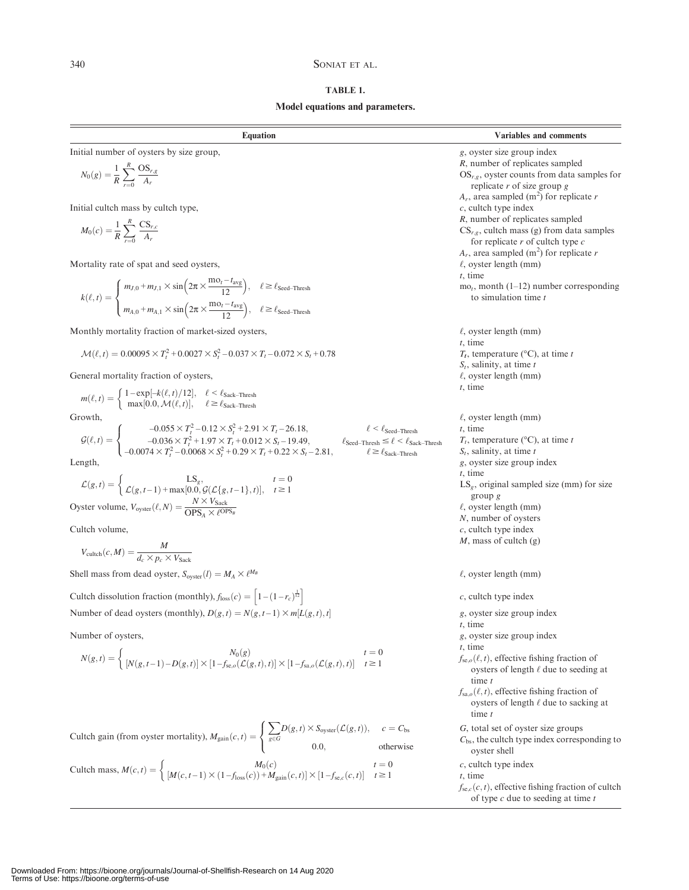### 340 SONIAT ET AL.

### TABLE 1.

### Model equations and parameters.

| <b>Equation</b>                                                                                                                                                                                                                                                                                                                                                                                                                     | Variables and comments                                                                                                                                                                                         |
|-------------------------------------------------------------------------------------------------------------------------------------------------------------------------------------------------------------------------------------------------------------------------------------------------------------------------------------------------------------------------------------------------------------------------------------|----------------------------------------------------------------------------------------------------------------------------------------------------------------------------------------------------------------|
| Initial number of oysters by size group,<br>$N_0(g) = \frac{1}{R} \sum_{n=1}^{R} \frac{OS_{r,g}}{A_r}$                                                                                                                                                                                                                                                                                                                              | g, oyster size group index<br>R, number of replicates sampled<br>$OS_{r,g}$ , oyster counts from data samples for<br>replicate $r$ of size group $g$<br>$A_r$ , area sampled (m <sup>2</sup> ) for replicate r |
| Initial cultch mass by cultch type,<br>$M_0(c) = \frac{1}{R} \sum_{r=1}^{R} \frac{CS_{r,c}}{A_r}$                                                                                                                                                                                                                                                                                                                                   | $c$ , cultch type index<br>R, number of replicates sampled<br>$CS_{r,g}$ , cultch mass (g) from data samples<br>for replicate $r$ of cultch type $c$                                                           |
| Mortality rate of spat and seed oysters,                                                                                                                                                                                                                                                                                                                                                                                            | $A_r$ , area sampled (m <sup>2</sup> ) for replicate r<br>$\ell$ , oyster length (mm)<br>$t$ , time<br>$mo_t$ , month (1–12) number corresponding                                                              |
| $k(\ell,t) = \begin{cases} m_{J,0} + m_{J,1} \times \sin\left(2\pi \times \frac{m_{O_I} - t_{avg}}{12}\right), & \ell \geq \ell_{\text{seed-Thresh}} \\ m_{A,0} + m_{A,1} \times \sin\left(2\pi \times \frac{m_{O_I} - t_{avg}}{12}\right), & \ell \geq \ell_{\text{seed-Thresh}} \end{cases}$                                                                                                                                      | to simulation time t                                                                                                                                                                                           |
| Monthly mortality fraction of market-sized oysters,                                                                                                                                                                                                                                                                                                                                                                                 | $\ell$ , oyster length (mm)                                                                                                                                                                                    |
| $\mathcal{M}(\ell, t) = 0.00095 \times T_t^2 + 0.0027 \times S_t^2 - 0.037 \times T_t - 0.072 \times S_t + 0.78$                                                                                                                                                                                                                                                                                                                    | $t$ , time<br>$T_t$ , temperature (°C), at time t<br>$S_t$ , salinity, at time t                                                                                                                               |
| General mortality fraction of oysters,                                                                                                                                                                                                                                                                                                                                                                                              | $\ell$ , oyster length (mm)                                                                                                                                                                                    |
| $m(\ell,t) = \begin{cases} 1-\exp[-k(\ell,t)/12], & \ell < \ell_{\text{Back-Thresh}} \\ \max[0.0, \mathcal{M}(\ell,t)], & \ell \geq \ell_{\text{Back-Thresh}} \end{cases}$                                                                                                                                                                                                                                                          | $t$ , time                                                                                                                                                                                                     |
| Growth,<br>TOWLII,<br>$\mathcal{G}(\ell, t) = \begin{cases} -0.055 \times T_t^2 - 0.12 \times S_t^2 + 2.91 \times T_t - 26.18, & \ell < \ell_{\text{seed-Thresh}} \\ -0.036 \times T_t^2 + 1.97 \times T_t + 0.012 \times S_t - 19.49, & \ell_{\text{seed-Thresh}} \leq \ell < \ell_{\text{Back-Thresh}} \\ -0.0074 \times T_t^2 - 0.0068 \times S_t^2 + 0.29 \times T_t + 0.22 \times S_t - 2.81, & \ell \geq \ell_{\text{Back-Th$ | $\ell$ , oyster length (mm)<br>$t$ , time<br>$T_t$ , temperature (°C), at time t                                                                                                                               |
| Length,<br>$\mathcal{L}(g,t) = \left\{ \begin{matrix} \text{L} \text{S}_g, & t=0 \\ \mathcal{L}(g,t-1) + \max[0.0, \mathcal{G}(\mathcal{L}\{g,t-1\},t)], & t \geq 1 \end{matrix} \right.$                                                                                                                                                                                                                                           | $S_t$ , salinity, at time t<br>g, oyster size group index<br>$t$ , time<br>$LS_g$ , original sampled size (mm) for size                                                                                        |
| Oyster volume, $V_{\text{oyster}}(\ell, N) = \frac{N \times V_{\text{Sack}}}{\text{OPS.} \times \ell^{\text{OPS}}}.$                                                                                                                                                                                                                                                                                                                | group g<br>$\ell$ , oyster length (mm)<br>N, number of oysters                                                                                                                                                 |
| Cultch volume,                                                                                                                                                                                                                                                                                                                                                                                                                      | $c$ , cultch type index                                                                                                                                                                                        |
| $V_{\text{cultch}}(c, M) = \frac{M}{d_{\text{c}} \times n_{\text{c}} \times V_{\text{Sult}}}$                                                                                                                                                                                                                                                                                                                                       | $M$ , mass of cultch (g)                                                                                                                                                                                       |
| Shell mass from dead oyster, $S_{\text{oyster}}(l) = M_A \times l^{M_B}$                                                                                                                                                                                                                                                                                                                                                            | $\ell$ , oyster length (mm)                                                                                                                                                                                    |
| Cultch dissolution fraction (monthly), $f_{loss}(c) = \left[1 - (1 - r_c)^{\frac{1}{12}}\right]$                                                                                                                                                                                                                                                                                                                                    | $c$ , cultch type index                                                                                                                                                                                        |
| Number of dead oysters (monthly), $D(g, t) = N(g, t-1) \times m[L(g, t), t]$                                                                                                                                                                                                                                                                                                                                                        | g, oyster size group index<br>$t$ , time                                                                                                                                                                       |
| Number of oysters,                                                                                                                                                                                                                                                                                                                                                                                                                  | g, oyster size group index<br>$t$ , time                                                                                                                                                                       |
| $N(g,t) = \begin{cases} N_0(g) & N_0(g) \ N(g,t-1) - D(g,t) \times [1 - f_{\text{SLO}}(\mathcal{L}(g,t),t)] \times [1 - f_{\text{SLO}}(\mathcal{L}(g,t),t)] \end{cases}$<br>$t = 0$<br>$t \geq 1$                                                                                                                                                                                                                                   | $f_{se,o}(\ell, t)$ , effective fishing fraction of<br>oysters of length $\ell$ due to seeding at<br>time $t$                                                                                                  |
|                                                                                                                                                                                                                                                                                                                                                                                                                                     | $f_{\text{sa},o}(\ell,t)$ , effective fishing fraction of<br>oysters of length $\ell$ due to sacking at<br>time $t$                                                                                            |
| Cultch gain (from oyster mortality), $M_{\text{gain}}(c,t) = \begin{cases} \sum_{g \in G} D(g,t) \times S_{\text{oyster}}(\mathcal{L}(g,t)), & c = C_{\text{bs}} \\ 0.0, & \text{otherwise} \end{cases}$                                                                                                                                                                                                                            | G, total set of oyster size groups<br>$C_{\text{bs}}$ , the cultch type index corresponding to<br>oyster shell                                                                                                 |
| Cultch mass, $M(c, t) = \begin{cases} M_0(c) & t = 0\\ [M(c, t-1) \times (1 - f_{\text{loss}}(c)) + M_{\text{gain}}(c, t)] \times [1 - f_{\text{sec}}(c, t)] & t \ge 1 \end{cases}$<br>$t = 0$                                                                                                                                                                                                                                      | $c$ , cultch type index<br>$t$ , time<br>$f_{se,c}(c, t)$ , effective fishing fraction of cultch<br>of type $c$ due to seeding at time $t$                                                                     |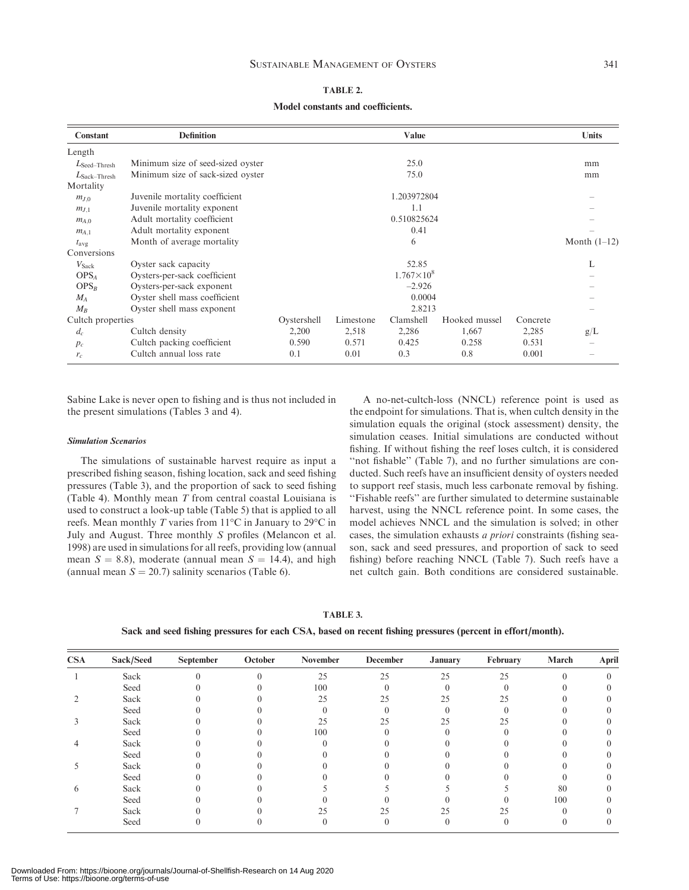#### TABLE 2.

#### Model constants and coefficients.

| Constant                 | <b>Definition</b>                 |             |           | Value               |               |          | Units          |
|--------------------------|-----------------------------------|-------------|-----------|---------------------|---------------|----------|----------------|
| Length                   |                                   |             |           |                     |               |          |                |
| $L$ Seed–Thresh          | Minimum size of seed-sized oyster |             |           | 25.0                |               |          | mm             |
| $L_{\text{Sack-Thresh}}$ | Minimum size of sack-sized oyster |             |           | 75.0                |               |          | mm             |
| Mortality                |                                   |             |           |                     |               |          |                |
| $m_{J,0}$                | Juvenile mortality coefficient    |             |           | 1.203972804         |               |          |                |
| $m_{J,1}$                | Juvenile mortality exponent       |             |           | 1.1                 |               |          |                |
| $m_{A,0}$                | Adult mortality coefficient       | 0.510825624 |           |                     |               |          |                |
| $m_{A,1}$                | Adult mortality exponent          |             |           | 0.41                |               |          |                |
| $t_{\rm avg}$            | Month of average mortality        |             |           | 6                   |               |          | Month $(1-12)$ |
| Conversions              |                                   |             |           |                     |               |          |                |
| $V_{\text{Sack}}$        | Oyster sack capacity              |             |           | 52.85               |               |          | L              |
| OPS <sub>4</sub>         | Oysters-per-sack coefficient      |             |           | $1.767\times10^{8}$ |               |          |                |
| $OPS_R$                  | Oysters-per-sack exponent         |             |           | $-2.926$            |               |          |                |
| $M_A$                    | Oyster shell mass coefficient     |             |           | 0.0004              |               |          |                |
| $M_B$                    | Oyster shell mass exponent        |             |           | 2.8213              |               |          |                |
| Cultch properties        |                                   | Oystershell | Limestone | Clamshell           | Hooked mussel | Concrete |                |
| $d_c$                    | Cultch density                    | 2,200       | 2,518     | 2,286               | 1,667         | 2,285    | g/L            |
| $p_c$                    | Cultch packing coefficient        | 0.590       | 0.571     | 0.425               | 0.258         | 0.531    |                |
| $r_c$                    | Cultch annual loss rate           | 0.1         | 0.01      | 0.3                 | 0.8           | 0.001    |                |

Sabine Lake is never open to fishing and is thus not included in the present simulations (Tables 3 and 4).

#### Simulation Scenarios

The simulations of sustainable harvest require as input a prescribed fishing season, fishing location, sack and seed fishing pressures (Table 3), and the proportion of sack to seed fishing (Table 4). Monthly mean  $T$  from central coastal Louisiana is used to construct a look-up table (Table 5) that is applied to all reefs. Mean monthly T varies from  $11^{\circ}$ C in January to 29 $^{\circ}$ C in July and August. Three monthly S profiles (Melancon et al. 1998) are used in simulations for all reefs, providing low (annual mean  $S = 8.8$ ), moderate (annual mean  $S = 14.4$ ), and high (annual mean  $S = 20.7$ ) salinity scenarios (Table 6).

A no-net-cultch-loss (NNCL) reference point is used as the endpoint for simulations. That is, when cultch density in the simulation equals the original (stock assessment) density, the simulation ceases. Initial simulations are conducted without fishing. If without fishing the reef loses cultch, it is considered "not fishable" (Table 7), and no further simulations are conducted. Such reefs have an insufficient density of oysters needed to support reef stasis, much less carbonate removal by fishing. ''Fishable reefs'' are further simulated to determine sustainable harvest, using the NNCL reference point. In some cases, the model achieves NNCL and the simulation is solved; in other cases, the simulation exhausts a priori constraints (fishing season, sack and seed pressures, and proportion of sack to seed fishing) before reaching NNCL (Table 7). Such reefs have a net cultch gain. Both conditions are considered sustainable.

Sack and seed fishing pressures for each CSA, based on recent fishing pressures (percent in effort/month).

| <b>CSA</b>   | Sack/Seed | September | October  | November | <b>December</b> | <b>January</b> | February | March | April |
|--------------|-----------|-----------|----------|----------|-----------------|----------------|----------|-------|-------|
|              | Sack      |           | $\Omega$ | 25       | 25              | 25             | 25       |       |       |
|              | Seed      |           |          | 100      |                 |                |          |       |       |
|              | Sack      |           |          | 25       | 25              | 25             | 25       |       |       |
|              | Seed      |           |          |          |                 |                |          |       |       |
|              | Sack      |           |          | 25       | 25              | 25             | 25       |       |       |
|              | Seed      |           |          | 100      |                 |                |          |       |       |
| 4            | Sack      |           |          |          |                 |                |          |       |       |
|              | Seed      |           |          |          |                 |                |          |       |       |
|              | Sack      |           |          |          |                 |                |          |       |       |
|              | Seed      |           |          |          |                 |                |          |       |       |
| <sub>(</sub> | Sack      |           |          |          |                 |                |          | 80    |       |
|              | Seed      |           |          |          |                 |                |          | 100   |       |
|              | Sack      |           |          | 25       | 25              | 25             | 25       |       |       |
|              | Seed      |           |          |          |                 |                |          |       |       |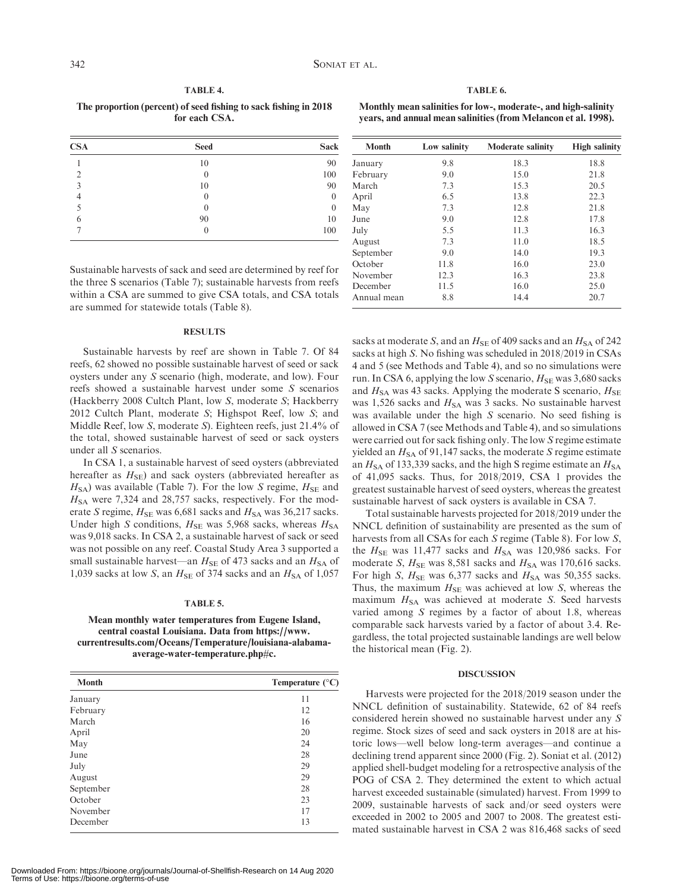#### TABLE 4.

The proportion (percent) of seed fishing to sack fishing in 2018 for each CSA.

| <b>CSA</b> | <b>Seed</b>      | <b>Sack</b>      |
|------------|------------------|------------------|
|            | 10               | 90               |
|            | $\Omega$         | 100              |
| 3          | 10               | 90               |
|            | $\left( \right)$ | $\Omega$         |
|            |                  | $\left( \right)$ |
| 6          | 90               | 10               |
|            |                  | 100              |

TABLE 6.

Monthly mean salinities for low-, moderate-, and high-salinity years, and annual mean salinities (from Melancon et al. 1998).

| <b>Month</b> | Low salinity | <b>Moderate salinity</b> | <b>High salinity</b> |
|--------------|--------------|--------------------------|----------------------|
| January      | 9.8          | 18.3                     | 18.8                 |
| February     | 9.0          | 15.0                     | 21.8                 |
| March        | 7.3          | 15.3                     | 20.5                 |
| April        | 6.5          | 13.8                     | 22.3                 |
| May          | 7.3          | 12.8                     | 21.8                 |
| June         | 9.0          | 12.8                     | 17.8                 |
| July         | 5.5          | 11.3                     | 16.3                 |
| August       | 7.3          | 11.0                     | 18.5                 |
| September    | 9.0          | 14.0                     | 19.3                 |
| October      | 11.8         | 16.0                     | 23.0                 |
| November     | 12.3         | 16.3                     | 23.8                 |
| December     | 11.5         | 16.0                     | 25.0                 |
| Annual mean  | 8.8          | 14.4                     | 20.7                 |

Sustainable harvests of sack and seed are determined by reef for the three S scenarios (Table 7); sustainable harvests from reefs within a CSA are summed to give CSA totals, and CSA totals are summed for statewide totals (Table 8).

#### **RESULTS**

Sustainable harvests by reef are shown in Table 7. Of 84 reefs, 62 showed no possible sustainable harvest of seed or sack oysters under any S scenario (high, moderate, and low). Four reefs showed a sustainable harvest under some S scenarios (Hackberry 2008 Cultch Plant, low S, moderate S; Hackberry 2012 Cultch Plant, moderate S; Highspot Reef, low S; and Middle Reef, low S, moderate S). Eighteen reefs, just 21.4% of the total, showed sustainable harvest of seed or sack oysters under all S scenarios.

In CSA 1, a sustainable harvest of seed oysters (abbreviated hereafter as  $H_{\text{SE}}$ ) and sack oysters (abbreviated hereafter as  $H<sub>SA</sub>$ ) was available (Table 7). For the low S regime,  $H<sub>SE</sub>$  and  $H<sub>SA</sub>$  were 7,324 and 28,757 sacks, respectively. For the moderate S regime,  $H_{\text{SE}}$  was 6,681 sacks and  $H_{\text{SA}}$  was 36,217 sacks. Under high S conditions,  $H_{\text{SE}}$  was 5,968 sacks, whereas  $H_{\text{SA}}$ was 9,018 sacks. In CSA 2, a sustainable harvest of sack or seed was not possible on any reef. Coastal Study Area 3 supported a small sustainable harvest—an  $H_{\text{SE}}$  of 473 sacks and an  $H_{\text{SA}}$  of 1,039 sacks at low S, an  $H_{\text{SE}}$  of 374 sacks and an  $H_{\text{SA}}$  of 1,057

#### TABLE 5.

#### Mean monthly water temperatures from Eugene Island, central coastal Louisiana. Data from [https://www.](https://www.currentresults.com/Oceans/Temperature/louisiana-alabama-average-water-temperature.php#c) [currentresults.com/Oceans/Temperature/louisiana-alabama](https://www.currentresults.com/Oceans/Temperature/louisiana-alabama-average-water-temperature.php#c)[average-water-temperature.php#c](https://www.currentresults.com/Oceans/Temperature/louisiana-alabama-average-water-temperature.php#c).

| <b>Month</b> | Temperature $(^{\circ}C)$ |
|--------------|---------------------------|
| January      | 11                        |
| February     | 12                        |
| March        | 16                        |
| April        | 20                        |
| May          | 24                        |
| June         | 28                        |
| July         | 29                        |
| August       | 29                        |
| September    | 28                        |
| October      | 23                        |
| November     | 17                        |
| December     | 13                        |

Downloaded From: https://bioone.org/journals/Journal-of-Shellfish-Research on 14 Aug 2020 Terms of Use: https://bioone.org/terms-of-use

sacks at moderate S, and an  $H_{\text{SE}}$  of 409 sacks and an  $H_{\text{SA}}$  of 242 sacks at high S. No fishing was scheduled in 2018/2019 in CSAs 4 and 5 (see Methods and Table 4), and so no simulations were run. In CSA 6, applying the low S scenario,  $H_{\text{SE}}$  was 3,680 sacks and  $H<sub>SA</sub>$  was 43 sacks. Applying the moderate S scenario,  $H<sub>SE</sub>$ was 1,526 sacks and  $H<sub>SA</sub>$  was 3 sacks. No sustainable harvest was available under the high S scenario. No seed fishing is allowed in CSA 7 (see Methods and Table 4), and so simulations were carried out for sack fishing only. The low S regime estimate yielded an  $H<sub>SA</sub>$  of 91,147 sacks, the moderate S regime estimate an  $H<sub>SA</sub>$  of 133,339 sacks, and the high S regime estimate an  $H<sub>SA</sub>$ of 41,095 sacks. Thus, for 2018/2019, CSA 1 provides the greatest sustainable harvest of seed oysters, whereas the greatest sustainable harvest of sack oysters is available in CSA 7.

Total sustainable harvests projected for 2018/2019 under the NNCL definition of sustainability are presented as the sum of harvests from all CSAs for each S regime (Table 8). For low S, the  $H_{\text{SE}}$  was 11,477 sacks and  $H_{\text{SA}}$  was 120,986 sacks. For moderate S,  $H_{\text{SE}}$  was 8,581 sacks and  $H_{\text{SA}}$  was 170,616 sacks. For high S,  $H_{\text{SE}}$  was 6,377 sacks and  $H_{\text{SA}}$  was 50,355 sacks. Thus, the maximum  $H_{\text{SE}}$  was achieved at low S, whereas the maximum  $H<sub>SA</sub>$  was achieved at moderate S. Seed harvests varied among  $S$  regimes by a factor of about 1.8, whereas comparable sack harvests varied by a factor of about 3.4. Regardless, the total projected sustainable landings are well below the historical mean (Fig. 2).

#### DISCUSSION

Harvests were projected for the 2018/2019 season under the NNCL definition of sustainability. Statewide, 62 of 84 reefs considered herein showed no sustainable harvest under any S regime. Stock sizes of seed and sack oysters in 2018 are at historic lows—well below long-term averages—and continue a declining trend apparent since 2000 (Fig. 2). Soniat et al. (2012) applied shell-budget modeling for a retrospective analysis of the POG of CSA 2. They determined the extent to which actual harvest exceeded sustainable (simulated) harvest. From 1999 to 2009, sustainable harvests of sack and/or seed oysters were exceeded in 2002 to 2005 and 2007 to 2008. The greatest estimated sustainable harvest in CSA 2 was 816,468 sacks of seed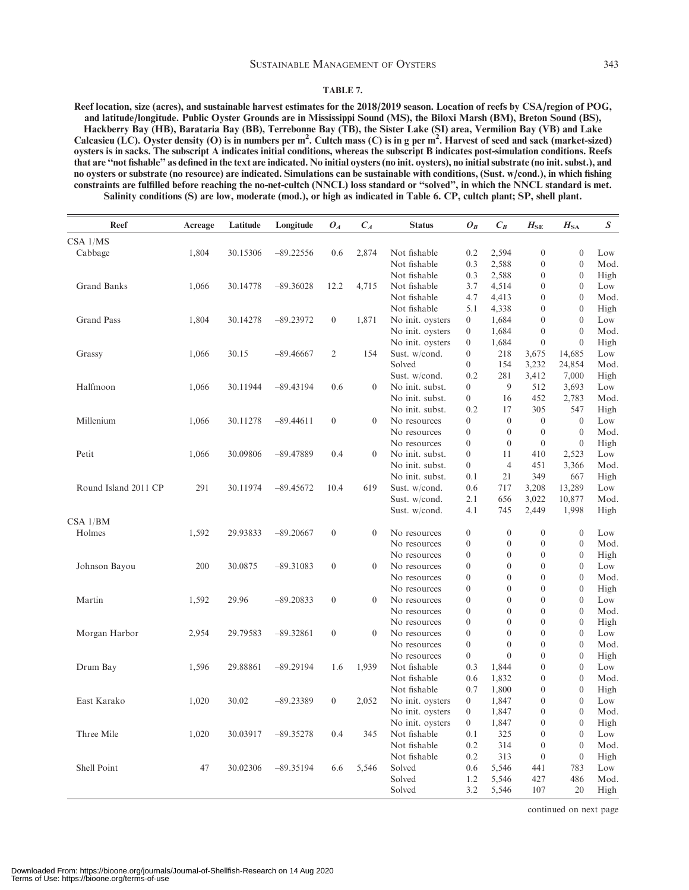#### SUSTAINABLE MANAGEMENT OF OYSTERS 343

#### TABLE 7.

Reef location, size (acres), and sustainable harvest estimates for the 2018/2019 season. Location of reefs by CSA/region of POG, and latitude/longitude. Public Oyster Grounds are in Mississippi Sound (MS), the Biloxi Marsh (BM), Breton Sound (BS), Hackberry Bay (HB), Barataria Bay (BB), Terrebonne Bay (TB), the Sister Lake (SI) area, Vermilion Bay (VB) and Lake Calcasieu (LC). Oyster density (O) is in numbers per m<sup>2</sup>. Cultch mass (C) is in g per m<sup>2</sup>. Harvest of seed and sack (market-sized) oysters is in sacks. The subscript A indicates initial conditions, whereas the subscript B indicates post-simulation conditions. Reefs that are ''not fishable'' as defined in the text are indicated. No initial oysters (no init. oysters), no initial substrate (no init. subst.), and no oysters or substrate (no resource) are indicated. Simulations can be sustainable with conditions, (Sust. w/cond.), in which fishing constraints are fulfilled before reaching the no-net-cultch (NNCL) loss standard or ''solved'', in which the NNCL standard is met. Salinity conditions (S) are low, moderate (mod.), or high as indicated in Table 6. CP, cultch plant; SP, shell plant.

| <b>Reef</b>          | Acreage | Latitude | Longitude   | $O_A$            | $C_A$          | <b>Status</b>    | $O_B$            | $C_R$            | $H_{\rm SE}$     | $H_{\rm SA}$     | S           |
|----------------------|---------|----------|-------------|------------------|----------------|------------------|------------------|------------------|------------------|------------------|-------------|
| $CSA$ $1/MS$         |         |          |             |                  |                |                  |                  |                  |                  |                  |             |
| Cabbage              | 1.804   | 30.15306 | $-89.22556$ | 0.6              | 2,874          | Not fishable     | 0.2              | 2,594            | $\overline{0}$   | $\theta$         | Low         |
|                      |         |          |             |                  |                | Not fishable     | 0.3              | 2,588            | $\boldsymbol{0}$ | $\overline{0}$   | Mod.        |
|                      |         |          |             |                  |                | Not fishable     | 0.3              | 2,588            | $\boldsymbol{0}$ | $\theta$         | High        |
| <b>Grand Banks</b>   | 1,066   | 30.14778 | $-89.36028$ | 12.2             | 4,715          | Not fishable     | 3.7              | 4,514            | $\boldsymbol{0}$ | $\theta$         | Low         |
|                      |         |          |             |                  |                | Not fishable     | 4.7              | 4,413            | $\boldsymbol{0}$ | $\theta$         | Mod.        |
|                      |         |          |             |                  |                | Not fishable     | 5.1              | 4,338            | $\boldsymbol{0}$ | $\theta$         | High        |
| <b>Grand Pass</b>    | 1,804   | 30.14278 | $-89.23972$ | $\boldsymbol{0}$ | 1,871          | No init. oysters | $\overline{0}$   | 1,684            | $\overline{0}$   | $\theta$         | Low         |
|                      |         |          |             |                  |                | No init. oysters | $\mathbf{0}$     | 1,684            | $\overline{0}$   | $\theta$         | Mod.        |
|                      |         |          |             |                  |                | No init. oysters | $\boldsymbol{0}$ | 1,684            | $\boldsymbol{0}$ | $\theta$         | High        |
| Grassy               | 1,066   | 30.15    | $-89.46667$ | 2                | 154            | Sust. w/cond.    | $\boldsymbol{0}$ | 218              | 3,675            | 14,685           | Low         |
|                      |         |          |             |                  |                | Solved           | $\boldsymbol{0}$ | 154              | 3,232            | 24,854           | Mod.        |
|                      |         |          |             |                  |                | Sust. w/cond.    | 0.2              | 281              | 3,412            | 7,000            | High        |
| Halfmoon             | 1,066   | 30.11944 | $-89.43194$ | 0.6              | $\theta$       | No init. subst.  | $\overline{0}$   | 9                | 512              | 3,693            | Low         |
|                      |         |          |             |                  |                | No init. subst.  | $\boldsymbol{0}$ | 16               | 452              | 2,783            | Mod.        |
|                      |         |          |             |                  |                | No init. subst.  | 0.2              | 17               | 305              | 547              | High        |
| Millenium            | 1,066   | 30.11278 | $-89.44611$ | $\mathbf{0}$     | $\theta$       | No resources     | $\overline{0}$   | $\theta$         | $\overline{0}$   | $\theta$         | Low         |
|                      |         |          |             |                  |                | No resources     | $\boldsymbol{0}$ | $\boldsymbol{0}$ | $\boldsymbol{0}$ | $\overline{0}$   | Mod.        |
|                      |         |          |             |                  |                | No resources     | $\boldsymbol{0}$ | $\overline{0}$   | $\boldsymbol{0}$ | $\mathbf{0}$     | High        |
| Petit                | 1,066   | 30.09806 | $-89.47889$ | 0.4              | $\theta$       | No init. subst.  | $\overline{0}$   | 11               | 410              | 2,523            | Low         |
|                      |         |          |             |                  |                | No init. subst.  | $\boldsymbol{0}$ | $\overline{4}$   | 451              | 3,366            | Mod.        |
|                      |         |          |             |                  |                | No init. subst.  | 0.1              | 21               | 349              | 667              | High        |
| Round Island 2011 CP | 291     | 30.11974 | $-89.45672$ | 10.4             | 619            | Sust. w/cond.    | 0.6              | 717              | 3,208            | 13,289           | Low         |
|                      |         |          |             |                  |                | Sust. w/cond.    | 2.1              | 656              | 3,022            | 10,877           | Mod.        |
|                      |         |          |             |                  |                | Sust. w/cond.    | 4.1              | 745              | 2,449            | 1,998            | High        |
| CSA 1/BM             |         |          |             |                  |                |                  |                  |                  |                  |                  |             |
| Holmes               | 1,592   | 29.93833 | $-89.20667$ | $\boldsymbol{0}$ | $\overline{0}$ | No resources     | $\overline{0}$   | $\mathbf{0}$     | $\boldsymbol{0}$ | $\theta$         | Low         |
|                      |         |          |             |                  |                | No resources     | $\boldsymbol{0}$ | $\theta$         | $\boldsymbol{0}$ | $\boldsymbol{0}$ | Mod.        |
|                      |         |          |             |                  |                | No resources     | $\theta$         | $\mathbf{0}$     | $\overline{0}$   | $\Omega$         | High        |
| Johnson Bayou        | 200     | 30.0875  | $-89.31083$ | $\overline{0}$   | $\theta$       | No resources     | $\boldsymbol{0}$ | $\overline{0}$   | $\boldsymbol{0}$ | $\theta$         | Low         |
|                      |         |          |             |                  |                | No resources     | $\boldsymbol{0}$ | $\theta$         | $\boldsymbol{0}$ | $\theta$         | Mod.        |
|                      |         |          |             |                  |                | No resources     | $\boldsymbol{0}$ | $\mathbf{0}$     | $\overline{0}$   | $\overline{0}$   | High        |
| Martin               | 1,592   | 29.96    | $-89.20833$ | $\boldsymbol{0}$ | $\theta$       | No resources     | $\boldsymbol{0}$ | $\mathbf{0}$     | $\boldsymbol{0}$ | $\theta$         | Low         |
|                      |         |          |             |                  |                | No resources     | $\boldsymbol{0}$ | $\theta$         | $\boldsymbol{0}$ | $\theta$         | Mod.        |
|                      |         |          |             |                  |                | No resources     | $\overline{0}$   | $\theta$         | $\overline{0}$   | $\theta$         | High        |
| Morgan Harbor        | 2,954   | 29.79583 | $-89.32861$ | $\boldsymbol{0}$ | $\theta$       | No resources     | $\boldsymbol{0}$ | $\mathbf{0}$     | $\boldsymbol{0}$ | $\theta$         | Low         |
|                      |         |          |             |                  |                | No resources     | $\boldsymbol{0}$ | $\theta$         | $\boldsymbol{0}$ | $\theta$         | Mod.        |
|                      |         |          |             |                  |                | No resources     | $\overline{0}$   | $\theta$         | $\overline{0}$   | $\theta$         | High        |
| Drum Bay             | 1,596   | 29.88861 | $-89.29194$ | 1.6              | 1,939          | Not fishable     | 0.3              | 1,844            | $\boldsymbol{0}$ | $\overline{0}$   | Low         |
|                      |         |          |             |                  |                | Not fishable     | 0.6              | 1,832            | $\boldsymbol{0}$ | $\theta$         | Mod.        |
|                      |         |          |             |                  |                | Not fishable     | 0.7              | 1,800            | $\overline{0}$   | $\theta$         | High        |
| East Karako          | 1,020   | 30.02    | $-89.23389$ | $\boldsymbol{0}$ | 2,052          | No init. oysters | $\mathbf{0}$     | 1,847            | $\boldsymbol{0}$ | $\theta$         | Low         |
|                      |         |          |             |                  |                | No init. oysters | $\boldsymbol{0}$ | 1,847            | $\boldsymbol{0}$ | $\Omega$         | Mod.        |
|                      |         |          |             |                  |                | No init. oysters | $\boldsymbol{0}$ | 1,847            | $\overline{0}$   | $\theta$         | High        |
| Three Mile           | 1,020   | 30.03917 | $-89.35278$ | 0.4              | 345            | Not fishable     | 0.1              | 325              | $\overline{0}$   | $\theta$         | Low         |
|                      |         |          |             |                  |                | Not fishable     | 0.2              | 314              | $\boldsymbol{0}$ | $\theta$         | Mod.        |
|                      |         |          |             |                  |                | Not fishable     | 0.2              | 313              | $\overline{0}$   | $\theta$         |             |
| Shell Point          |         |          |             | 6.6              |                |                  |                  | 5,546            |                  |                  | High        |
|                      | 47      | 30.02306 | $-89.35194$ |                  | 5,546          | Solved           | 0.6              |                  | 441              | 783<br>486       | Low<br>Mod. |
|                      |         |          |             |                  |                | Solved           | 1.2              | 5,546            | 427              |                  |             |
|                      |         |          |             |                  |                | Solved           | 3.2              | 5,546            | 107              | 20               | High        |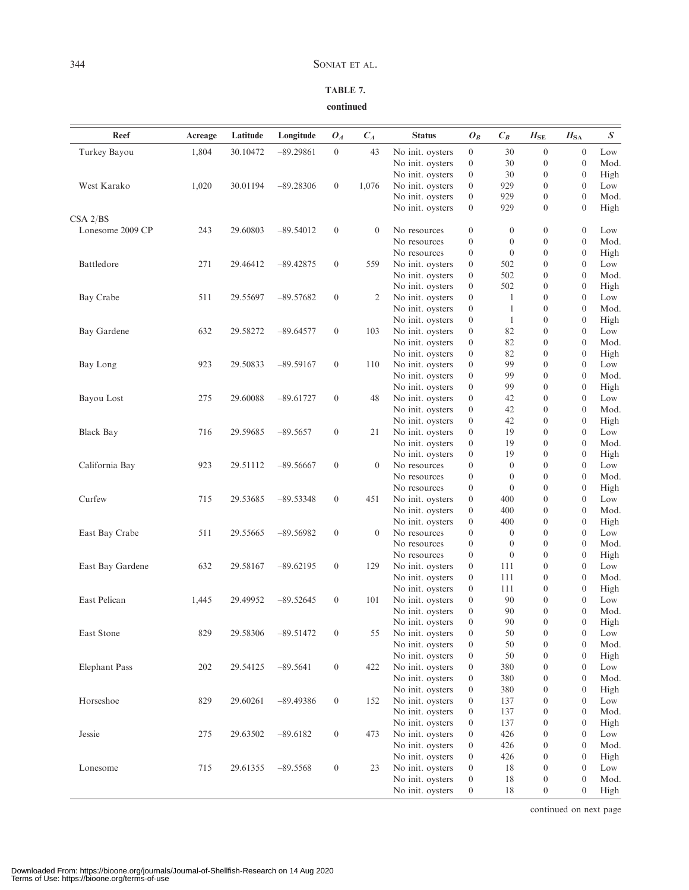### TABLE 7. continued

| Reef                 | Acreage | Latitude | Longitude   | $O_{A}$          | $C_A$        | <b>Status</b>    | $O_B$                                | $C_B$                   | $H_{\rm SE}$                         | $H_{\rm SA}$                     | $\boldsymbol{S}$ |
|----------------------|---------|----------|-------------|------------------|--------------|------------------|--------------------------------------|-------------------------|--------------------------------------|----------------------------------|------------------|
| Turkey Bayou         | 1,804   | 30.10472 | $-89.29861$ | $\boldsymbol{0}$ | 43           | No init. oysters | $\boldsymbol{0}$                     | 30                      | $\boldsymbol{0}$                     | $\boldsymbol{0}$                 | Low              |
|                      |         |          |             |                  |              | No init. oysters | $\boldsymbol{0}$                     | 30                      | $\boldsymbol{0}$                     | $\mathbf{0}$                     | Mod.             |
|                      |         |          |             |                  |              | No init. oysters | $\boldsymbol{0}$                     | 30                      | $\boldsymbol{0}$                     | $\mathbf{0}$                     | High             |
| West Karako          | 1,020   | 30.01194 | $-89.28306$ | $\overline{0}$   | 1,076        | No init. oysters | $\boldsymbol{0}$                     | 929                     | $\boldsymbol{0}$                     | $\theta$                         | Low              |
|                      |         |          |             |                  |              | No init. oysters | $\boldsymbol{0}$                     | 929                     | $\boldsymbol{0}$                     | $\theta$                         | Mod.             |
|                      |         |          |             |                  |              | No init. oysters | $\boldsymbol{0}$                     | 929                     | $\boldsymbol{0}$                     | $\theta$                         | High             |
| CSA 2/BS             |         |          |             |                  |              |                  |                                      |                         |                                      |                                  |                  |
| Lonesome 2009 CP     | 243     | 29.60803 | $-89.54012$ | $\boldsymbol{0}$ | $\mathbf{0}$ | No resources     | $\boldsymbol{0}$                     | $\boldsymbol{0}$        | $\boldsymbol{0}$                     | $\mathbf{0}$                     | Low              |
|                      |         |          |             |                  |              | No resources     | $\boldsymbol{0}$                     | $\boldsymbol{0}$        | $\boldsymbol{0}$                     | $\mathbf{0}$                     | Mod.             |
|                      |         |          |             |                  |              | No resources     | $\boldsymbol{0}$                     | $\boldsymbol{0}$        | $\boldsymbol{0}$                     | $\mathbf{0}$                     | High             |
| Battledore           | 271     | 29.46412 | $-89.42875$ | $\boldsymbol{0}$ | 559          | No init. oysters | $\boldsymbol{0}$                     | 502                     | $\boldsymbol{0}$                     | $\theta$                         | Low              |
|                      |         |          |             |                  |              | No init. oysters | $\boldsymbol{0}$                     | 502                     | $\boldsymbol{0}$                     | $\mathbf{0}$                     | Mod.             |
|                      |         |          |             |                  |              | No init. oysters | $\boldsymbol{0}$                     | 502                     | $\boldsymbol{0}$                     | $\theta$                         | High             |
| Bay Crabe            | 511     | 29.55697 | $-89.57682$ | $\boldsymbol{0}$ | 2            | No init. oysters | $\boldsymbol{0}$                     | 1                       | $\boldsymbol{0}$                     | $\mathbf{0}$                     | Low              |
|                      |         |          |             |                  |              | No init. oysters | $\boldsymbol{0}$                     | 1                       | $\boldsymbol{0}$                     | $\mathbf{0}$                     | Mod.             |
|                      |         |          |             |                  |              | No init. oysters | $\boldsymbol{0}$                     | 1                       | $\boldsymbol{0}$                     | $\mathbf{0}$                     | High             |
| Bay Gardene          | 632     | 29.58272 | $-89.64577$ | $\mathbf{0}$     | 103          | No init. oysters | $\boldsymbol{0}$                     | 82                      | $\boldsymbol{0}$                     | $\theta$                         | Low              |
|                      |         |          |             |                  |              | No init. oysters | $\boldsymbol{0}$                     | 82                      | $\boldsymbol{0}$                     | $\theta$                         | Mod.             |
|                      |         |          |             |                  |              | No init. oysters | $\boldsymbol{0}$                     | 82                      | $\boldsymbol{0}$                     | $\mathbf{0}$                     | High             |
| Bay Long             | 923     | 29.50833 | $-89.59167$ | $\boldsymbol{0}$ | 110          | No init. oysters | $\boldsymbol{0}$                     | 99                      | $\boldsymbol{0}$                     | $\mathbf{0}$                     | Low              |
|                      |         |          |             |                  |              | No init. oysters | $\boldsymbol{0}$                     | 99                      | $\boldsymbol{0}$                     | $\theta$                         | Mod.             |
|                      |         |          |             |                  |              | No init. oysters | $\boldsymbol{0}$                     | 99                      | $\boldsymbol{0}$                     | $\mathbf{0}$                     | High             |
| Bayou Lost           | 275     | 29.60088 | $-89.61727$ | $\mathbf{0}$     | 48           | No init. oysters | $\boldsymbol{0}$                     | 42                      | $\boldsymbol{0}$                     | $\theta$                         | Low              |
|                      |         |          |             |                  |              | No init. oysters | $\boldsymbol{0}$                     | 42                      | $\boldsymbol{0}$                     | $\theta$                         | Mod.             |
|                      |         |          |             |                  |              | No init. oysters | $\boldsymbol{0}$                     | 42                      | $\boldsymbol{0}$                     | $\mathbf{0}$                     | High             |
| <b>Black Bay</b>     | 716     | 29.59685 | $-89.5657$  | $\boldsymbol{0}$ | 21           | No init. oysters | $\boldsymbol{0}$                     | 19                      | $\boldsymbol{0}$                     | $\mathbf{0}$                     | Low              |
|                      |         |          |             |                  |              | No init. oysters | $\boldsymbol{0}$                     | 19                      | $\boldsymbol{0}$                     | $\theta$                         | Mod.             |
|                      |         |          |             |                  |              | No init. oysters | $\boldsymbol{0}$                     | 19                      | $\boldsymbol{0}$                     | $\mathbf{0}$                     | High             |
| California Bay       | 923     | 29.51112 | $-89.56667$ | $\boldsymbol{0}$ | $\mathbf{0}$ | No resources     | $\boldsymbol{0}$                     | $\boldsymbol{0}$        | $\boldsymbol{0}$                     | $\mathbf{0}$                     | Low              |
|                      |         |          |             |                  |              | No resources     | $\boldsymbol{0}$                     | $\boldsymbol{0}$        | $\boldsymbol{0}$                     | $\theta$                         | Mod.             |
|                      |         |          |             |                  |              | No resources     | $\boldsymbol{0}$                     | $\boldsymbol{0}$        | $\boldsymbol{0}$                     | $\mathbf{0}$                     | High             |
| Curfew               |         | 29.53685 | $-89.53348$ | $\boldsymbol{0}$ | 451          |                  | $\boldsymbol{0}$                     | 400                     | $\boldsymbol{0}$                     | $\mathbf{0}$                     | Low              |
|                      | 715     |          |             |                  |              | No init. oysters | $\boldsymbol{0}$                     | 400                     | $\boldsymbol{0}$                     | $\theta$                         | Mod.             |
|                      |         |          |             |                  |              | No init. oysters |                                      |                         |                                      |                                  |                  |
|                      | 511     | 29.55665 | $-89.56982$ |                  | $\mathbf{0}$ | No init. oysters | $\boldsymbol{0}$<br>$\boldsymbol{0}$ | 400<br>$\boldsymbol{0}$ | $\boldsymbol{0}$<br>$\boldsymbol{0}$ | $\mathbf{0}$<br>$\boldsymbol{0}$ | High             |
| East Bay Crabe       |         |          |             | $\boldsymbol{0}$ |              | No resources     |                                      |                         |                                      |                                  | Low              |
|                      |         |          |             |                  |              | No resources     | $\boldsymbol{0}$                     | $\boldsymbol{0}$        | $\boldsymbol{0}$                     | $\theta$                         | Mod.             |
|                      |         |          |             |                  |              | No resources     | $\boldsymbol{0}$                     | $\boldsymbol{0}$        | $\boldsymbol{0}$                     | $\mathbf{0}$                     | High             |
| East Bay Gardene     | 632     | 29.58167 | $-89.62195$ | $\boldsymbol{0}$ | 129          | No init. oysters | $\boldsymbol{0}$                     | 111                     | $\boldsymbol{0}$                     | $\mathbf{0}$                     | Low              |
|                      |         |          |             |                  |              | No init. oysters | $\boldsymbol{0}$                     | 111                     | $\boldsymbol{0}$                     | $\theta$                         | Mod.             |
|                      |         |          |             |                  |              | No init. oysters | $\boldsymbol{0}$                     | 111                     | $\boldsymbol{0}$                     | $\mathbf{0}$                     | High             |
| East Pelican         | 1,445   | 29.49952 | $-89.52645$ | $\boldsymbol{0}$ | 101          | No init. oysters | $\boldsymbol{0}$                     | 90                      | $\boldsymbol{0}$                     | $\theta$                         | Low              |
|                      |         |          |             |                  |              | No init. oysters | $\boldsymbol{0}$                     | 90                      | $\boldsymbol{0}$                     | $\theta$                         | Mod.             |
|                      |         |          |             |                  |              | No init. oysters | $\boldsymbol{0}$                     | 90                      | $\theta$                             | $\boldsymbol{0}$                 | High             |
| East Stone           | 829     | 29.58306 | $-89.51472$ | $\boldsymbol{0}$ | 55           | No init. oysters | $\boldsymbol{0}$                     | 50                      | $\boldsymbol{0}$                     | $\boldsymbol{0}$                 | Low              |
|                      |         |          |             |                  |              | No init. oysters | $\boldsymbol{0}$                     | 50                      | $\boldsymbol{0}$                     | $\mathbf{0}$                     | Mod.             |
|                      |         |          |             |                  |              | No init. oysters | $\boldsymbol{0}$                     | 50                      | $\boldsymbol{0}$                     | $\boldsymbol{0}$                 | High             |
| <b>Elephant Pass</b> | 202     | 29.54125 | $-89.5641$  | $\boldsymbol{0}$ | 422          | No init. oysters | $\boldsymbol{0}$                     | 380                     | $\boldsymbol{0}$                     | $\boldsymbol{0}$                 | Low              |
|                      |         |          |             |                  |              | No init. oysters | $\boldsymbol{0}$                     | 380                     | $\boldsymbol{0}$                     | $\mathbf{0}$                     | Mod.             |
|                      |         |          |             |                  |              | No init. oysters | $\boldsymbol{0}$                     | 380                     | $\boldsymbol{0}$                     | $\mathbf{0}$                     | High             |
| Horseshoe            | 829     | 29.60261 | $-89.49386$ | $\boldsymbol{0}$ | 152          | No init. oysters | $\boldsymbol{0}$                     | 137                     | $\boldsymbol{0}$                     | $\boldsymbol{0}$                 | Low              |
|                      |         |          |             |                  |              | No init. oysters | $\boldsymbol{0}$                     | 137                     | $\boldsymbol{0}$                     | $\mathbf{0}$                     | Mod.             |
|                      |         |          |             |                  |              | No init. oysters | $\boldsymbol{0}$                     | 137                     | $\boldsymbol{0}$                     | $\mathbf{0}$                     | High             |
| Jessie               | 275     | 29.63502 | $-89.6182$  | $\boldsymbol{0}$ | 473          | No init. oysters | $\boldsymbol{0}$                     | 426                     | $\boldsymbol{0}$                     | $\boldsymbol{0}$                 | Low              |
|                      |         |          |             |                  |              | No init. oysters | $\boldsymbol{0}$                     | 426                     | $\boldsymbol{0}$                     | $\mathbf{0}$                     | Mod.             |
|                      |         |          |             |                  |              | No init. oysters | $\boldsymbol{0}$                     | 426                     | $\boldsymbol{0}$                     | $\mathbf{0}$                     | High             |
| Lonesome             | 715     | 29.61355 | $-89.5568$  | $\boldsymbol{0}$ | 23           | No init. oysters | $\boldsymbol{0}$                     | 18                      | $\boldsymbol{0}$                     | $\mathbf{0}$                     | Low              |
|                      |         |          |             |                  |              | No init. oysters | $\boldsymbol{0}$                     | 18                      | $\boldsymbol{0}$                     | $\mathbf{0}$                     | Mod.             |
|                      |         |          |             |                  |              | No init. oysters | $\boldsymbol{0}$                     | 18                      | $\boldsymbol{0}$                     | $\boldsymbol{0}$                 | High             |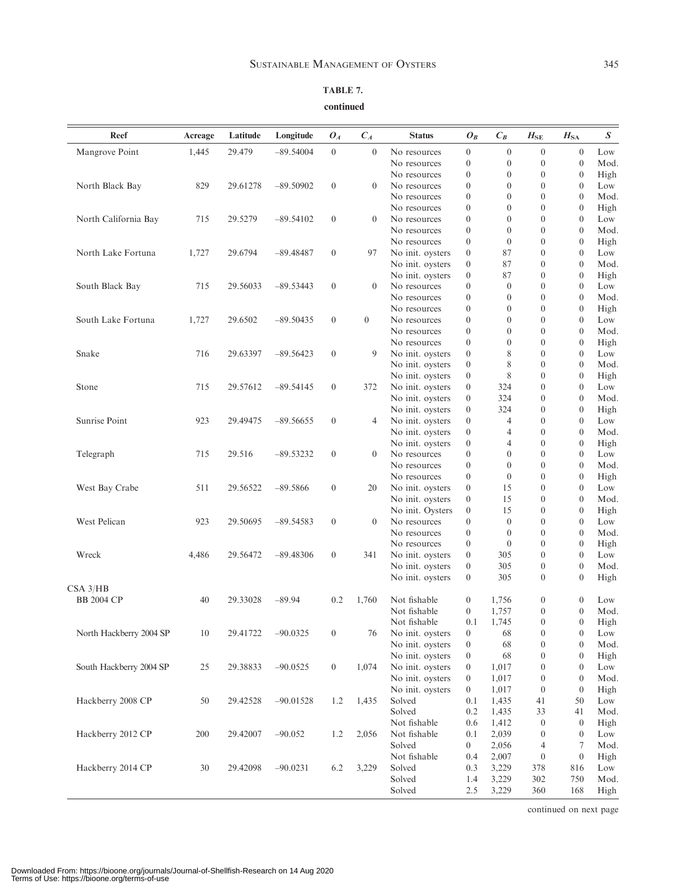| ٦<br>٠<br>w | ۰. | ×           |
|-------------|----|-------------|
| I<br>$\sim$ |    | I<br>$\sim$ |

| Reef                    | Acreage | Latitude | Longitude   | $O_{A}$          | $C_A$            | <b>Status</b>    | $O_B$            | $C_B$            | $H_\mathrm{SE}$  | $H_{\rm SA}$     | $\boldsymbol{S}$   |
|-------------------------|---------|----------|-------------|------------------|------------------|------------------|------------------|------------------|------------------|------------------|--------------------|
| Mangrove Point          | 1.445   | 29.479   | $-89.54004$ | $\boldsymbol{0}$ | $\theta$         | No resources     | $\boldsymbol{0}$ | $\overline{0}$   | $\boldsymbol{0}$ | $\theta$         | Low                |
|                         |         |          |             |                  |                  | No resources     | $\boldsymbol{0}$ | $\theta$         | $\boldsymbol{0}$ | $\overline{0}$   | Mod.               |
|                         |         |          |             |                  |                  | No resources     | $\boldsymbol{0}$ | $\mathbf{0}$     | $\boldsymbol{0}$ | $\boldsymbol{0}$ | High               |
| North Black Bay         | 829     | 29.61278 | $-89.50902$ | $\mathbf{0}$     | $\overline{0}$   | No resources     | $\boldsymbol{0}$ | $\theta$         | $\boldsymbol{0}$ | $\theta$         | Low                |
|                         |         |          |             |                  |                  | No resources     | $\boldsymbol{0}$ | $\theta$         | $\theta$         | $\theta$         | Mod.               |
|                         |         |          |             |                  |                  | No resources     | $\boldsymbol{0}$ | $\mathbf{0}$     | $\boldsymbol{0}$ | $\theta$         | High               |
| North California Bay    | 715     | 29.5279  | $-89.54102$ | $\boldsymbol{0}$ | $\mathbf{0}$     | No resources     | $\boldsymbol{0}$ | $\theta$         | $\boldsymbol{0}$ | $\theta$         | Low                |
|                         |         |          |             |                  |                  | No resources     | $\boldsymbol{0}$ | $\theta$         | $\theta$         | $\theta$         | Mod.               |
|                         |         |          |             |                  |                  | No resources     | $\boldsymbol{0}$ | $\theta$         | $\boldsymbol{0}$ | $\boldsymbol{0}$ | High               |
| North Lake Fortuna      | 1,727   | 29.6794  | $-89.48487$ | $\boldsymbol{0}$ | 97               | No init. oysters | $\boldsymbol{0}$ | 87               | $\boldsymbol{0}$ | $\theta$         | Low                |
|                         |         |          |             |                  |                  | No init. oysters | $\boldsymbol{0}$ | 87               | $\theta$         | $\theta$         | Mod.               |
|                         |         |          |             |                  |                  | No init. oysters | $\boldsymbol{0}$ | 87               | $\boldsymbol{0}$ | $\boldsymbol{0}$ | High               |
| South Black Bay         | 715     | 29.56033 | $-89.53443$ | $\boldsymbol{0}$ | $\mathbf{0}$     | No resources     | $\boldsymbol{0}$ | $\mathbf{0}$     | $\boldsymbol{0}$ | $\theta$         | Low                |
|                         |         |          |             |                  |                  | No resources     | $\boldsymbol{0}$ | $\theta$         | $\boldsymbol{0}$ | $\theta$         | Mod.               |
|                         |         |          |             |                  |                  | No resources     | $\boldsymbol{0}$ | $\mathbf{0}$     | $\boldsymbol{0}$ | $\boldsymbol{0}$ | High               |
| South Lake Fortuna      | 1,727   | 29.6502  | $-89.50435$ | $\boldsymbol{0}$ | $\boldsymbol{0}$ | No resources     | $\boldsymbol{0}$ | $\mathbf{0}$     | $\boldsymbol{0}$ | $\theta$         | Low                |
|                         |         |          |             |                  |                  | No resources     | $\boldsymbol{0}$ | $\theta$         | $\boldsymbol{0}$ | $\theta$         | Mod.               |
|                         |         |          |             |                  |                  | No resources     | $\boldsymbol{0}$ | $\boldsymbol{0}$ | $\boldsymbol{0}$ | $\mathbf{0}$     | High               |
| Snake                   | 716     | 29.63397 | $-89.56423$ | $\boldsymbol{0}$ | 9                | No init. oysters | $\boldsymbol{0}$ | 8                | $\boldsymbol{0}$ | $\theta$         | Low                |
|                         |         |          |             |                  |                  | No init. oysters | $\boldsymbol{0}$ | 8                | $\boldsymbol{0}$ | $\theta$         | Mod.               |
|                         |         |          |             |                  |                  | No init. oysters | $\boldsymbol{0}$ | 8                | $\boldsymbol{0}$ | $\boldsymbol{0}$ | High               |
| Stone                   | 715     | 29.57612 | $-89.54145$ | $\boldsymbol{0}$ | 372              | No init. oysters | $\boldsymbol{0}$ | 324              | $\boldsymbol{0}$ | $\theta$         | Low                |
|                         |         |          |             |                  |                  | No init. oysters | $\boldsymbol{0}$ | 324              | $\boldsymbol{0}$ | $\theta$         | Mod.               |
|                         |         |          |             |                  |                  | No init. oysters | $\boldsymbol{0}$ | 324              | $\boldsymbol{0}$ | $\mathbf{0}$     | High               |
| <b>Sunrise Point</b>    | 923     | 29.49475 | $-89.56655$ | $\boldsymbol{0}$ | $\overline{4}$   | No init. oysters | $\boldsymbol{0}$ | $\overline{4}$   | $\boldsymbol{0}$ | $\theta$         | Low                |
|                         |         |          |             |                  |                  | No init. oysters | $\boldsymbol{0}$ | $\overline{4}$   | $\boldsymbol{0}$ | $\theta$         | Mod.               |
|                         |         |          |             |                  |                  | No init. oysters | $\boldsymbol{0}$ | $\overline{4}$   | $\boldsymbol{0}$ | $\theta$         | High               |
| Telegraph               | 715     | 29.516   | $-89.53232$ | $\boldsymbol{0}$ | $\overline{0}$   | No resources     | $\boldsymbol{0}$ | $\theta$         | $\boldsymbol{0}$ | $\theta$         | Low                |
|                         |         |          |             |                  |                  | No resources     | $\boldsymbol{0}$ | $\theta$         | $\boldsymbol{0}$ | $\theta$         | Mod.               |
|                         |         |          |             |                  |                  | No resources     | $\boldsymbol{0}$ | $\mathbf{0}$     | $\boldsymbol{0}$ | $\mathbf{0}$     | High               |
| West Bay Crabe          | 511     | 29.56522 | $-89.5866$  | $\boldsymbol{0}$ | 20               | No init. oysters | $\boldsymbol{0}$ | 15               | $\boldsymbol{0}$ | $\theta$         | Low                |
|                         |         |          |             |                  |                  | No init. oysters | $\boldsymbol{0}$ | 15               | $\boldsymbol{0}$ | $\theta$         | Mod.               |
|                         |         |          |             |                  |                  | No init. Oysters | $\boldsymbol{0}$ | 15               | $\boldsymbol{0}$ | $\mathbf{0}$     | High               |
| West Pelican            | 923     | 29.50695 | $-89.54583$ | $\boldsymbol{0}$ | $\overline{0}$   | No resources     | $\boldsymbol{0}$ | $\theta$         | $\boldsymbol{0}$ | $\theta$         | Low                |
|                         |         |          |             |                  |                  | No resources     | $\boldsymbol{0}$ | $\mathbf{0}$     | $\boldsymbol{0}$ | $\theta$         | Mod.               |
|                         |         |          |             |                  |                  | No resources     | $\boldsymbol{0}$ | $\mathbf{0}$     | $\boldsymbol{0}$ | $\theta$         | High               |
| Wreck                   | 4,486   | 29.56472 | $-89.48306$ | $\boldsymbol{0}$ | 341              | No init. oysters | $\boldsymbol{0}$ | 305              | $\boldsymbol{0}$ | $\theta$         | Low                |
|                         |         |          |             |                  |                  | No init. oysters | $\boldsymbol{0}$ | 305              | $\boldsymbol{0}$ | $\theta$         | Mod.               |
|                         |         |          |             |                  |                  | No init. oysters | $\boldsymbol{0}$ | 305              | $\boldsymbol{0}$ | $\theta$         | High               |
| $CSA$ 3/ $HB$           |         |          |             |                  |                  |                  |                  |                  |                  |                  |                    |
| <b>BB 2004 CP</b>       | 40      | 29.33028 | $-89.94$    | 0.2              | 1,760            | Not fishable     | $\boldsymbol{0}$ | 1,756            | $\boldsymbol{0}$ | $\theta$         | Low                |
|                         |         |          |             |                  |                  | Not fishable     | $\boldsymbol{0}$ | 1,757            | $\boldsymbol{0}$ | $\overline{0}$   | Mod.               |
|                         |         |          |             |                  |                  | Not fishable     | 0.1              | 1,745            | $\overline{0}$   | $\mathbf{0}$     | $_{\mathrm{High}}$ |
| North Hackberry 2004 SP | 10      | 29.41722 | $-90.0325$  | $\boldsymbol{0}$ | 76               | No init. oysters | $\boldsymbol{0}$ | 68               | $\boldsymbol{0}$ | $\boldsymbol{0}$ | Low                |
|                         |         |          |             |                  |                  | No init. oysters | $\boldsymbol{0}$ | 68               | $\boldsymbol{0}$ | $\mathbf{0}$     | Mod.               |
|                         |         |          |             |                  |                  | No init. oysters | $\boldsymbol{0}$ | 68               | $\boldsymbol{0}$ | $\mathbf{0}$     | High               |
| South Hackberry 2004 SP | 25      | 29.38833 | $-90.0525$  | $\overline{0}$   | 1,074            | No init. oysters | $\boldsymbol{0}$ | 1,017            | $\boldsymbol{0}$ | $\mathbf{0}$     | Low                |
|                         |         |          |             |                  |                  | No init. oysters | $\boldsymbol{0}$ | 1,017            | $\boldsymbol{0}$ | $\boldsymbol{0}$ | Mod.               |
|                         |         |          |             |                  |                  | No init. oysters | $\overline{0}$   | 1,017            | $\boldsymbol{0}$ | $\mathbf{0}$     | High               |
| Hackberry 2008 CP       | 50      | 29.42528 | $-90.01528$ | 1.2              | 1,435            | Solved           | 0.1              | 1,435            | 41               | 50               | Low                |
|                         |         |          |             |                  |                  | Solved           | 0.2              | 1,435            | 33               | 41               | Mod.               |
|                         |         |          |             |                  |                  | Not fishable     | 0.6              | 1,412            | $\boldsymbol{0}$ | $\mathbf{0}$     | High               |
| Hackberry 2012 CP       | 200     | 29.42007 | $-90.052$   | 1.2              | 2,056            | Not fishable     | 0.1              | 2,039            | $\boldsymbol{0}$ | $\boldsymbol{0}$ | Low                |
|                         |         |          |             |                  |                  | Solved           | $\overline{0}$   | 2,056            | 4                | 7                | Mod.               |
|                         |         |          |             |                  |                  | Not fishable     | 0.4              | 2,007            | $\boldsymbol{0}$ | $\mathbf{0}$     | High               |
| Hackberry 2014 CP       | 30      | 29.42098 | $-90.0231$  | 6.2              | 3,229            | Solved           | 0.3              | 3,229            | 378              | 816              | Low                |
|                         |         |          |             |                  |                  | Solved           | 1.4              | 3,229            | 302              | 750              | Mod.               |
|                         |         |          |             |                  |                  | Solved           | 2.5              | 3,229            | 360              | 168              | High               |

TABLE 7. continued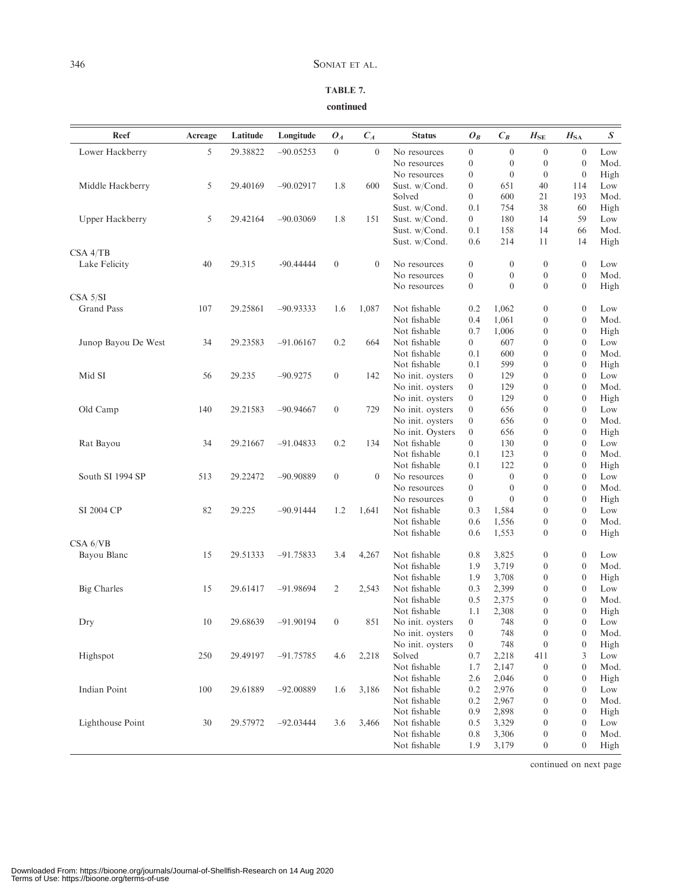| ٦<br>٠           | ۰. | ۰,           |
|------------------|----|--------------|
| w<br>I<br>$\sim$ |    | ٦<br>×<br>۰, |

### TABLE 7. continued

| Reef                | Acreage | Latitude | Longitude   | $O_A$            | $C_A$          | <b>Status</b>    | ${\cal O}_B$                         | $C_B$            | $H_{\rm SE}$     | $H_{SA}$                 | $\boldsymbol{S}$ |
|---------------------|---------|----------|-------------|------------------|----------------|------------------|--------------------------------------|------------------|------------------|--------------------------|------------------|
| Lower Hackberry     | 5       | 29.38822 | $-90.05253$ | $\boldsymbol{0}$ | $\mathbf{0}$   | No resources     | $\boldsymbol{0}$                     | $\mathbf{0}$     | $\boldsymbol{0}$ | $\boldsymbol{0}$         | Low              |
|                     |         |          |             |                  |                | No resources     | $\boldsymbol{0}$                     | $\boldsymbol{0}$ | $\boldsymbol{0}$ | $\mathbf{0}$             | Mod.             |
|                     |         |          |             |                  |                | No resources     | $\boldsymbol{0}$                     | $\boldsymbol{0}$ | $\boldsymbol{0}$ | $\mathbf{0}$             | High             |
| Middle Hackberry    | 5       | 29.40169 | $-90.02917$ | 1.8              | 600            | Sust. w/Cond.    | $\boldsymbol{0}$                     | 651              | 40               | 114                      | Low              |
|                     |         |          |             |                  |                | Solved           | $\overline{0}$                       | 600              | 21               | 193                      | Mod.             |
|                     |         |          |             |                  |                | Sust. w/Cond.    | 0.1                                  | 754              | 38               | 60                       | High             |
| Upper Hackberry     | 5       | 29.42164 | $-90.03069$ | 1.8              | 151            | Sust. w/Cond.    | $\overline{0}$                       | 180              | 14               | 59                       | Low              |
|                     |         |          |             |                  |                | Sust. w/Cond.    | 0.1                                  | 158              | 14               | 66                       | Mod.             |
|                     |         |          |             |                  |                | Sust. w/Cond.    | 0.6                                  | 214              | 11               | 14                       | High             |
| CSA 4/TB            |         |          |             |                  |                |                  |                                      |                  |                  |                          |                  |
| Lake Felicity       | 40      | 29.315   | $-90.44444$ | $\boldsymbol{0}$ | $\overline{0}$ | No resources     | $\boldsymbol{0}$                     | $\mathbf{0}$     | $\boldsymbol{0}$ | $\mathbf{0}$             | Low              |
|                     |         |          |             |                  |                | No resources     | $\boldsymbol{0}$                     | $\boldsymbol{0}$ | $\boldsymbol{0}$ | $\boldsymbol{0}$         | Mod.             |
|                     |         |          |             |                  |                | No resources     | $\mathbf{0}$                         | $\overline{0}$   | $\boldsymbol{0}$ | $\boldsymbol{0}$         | High             |
| CSA 5/SI            |         |          |             |                  |                |                  |                                      |                  |                  |                          |                  |
| <b>Grand Pass</b>   | 107     | 29.25861 | $-90.93333$ | 1.6              | 1,087          | Not fishable     | 0.2                                  | 1,062            | $\boldsymbol{0}$ | $\mathbf{0}$             | Low              |
|                     |         |          |             |                  |                | Not fishable     | 0.4                                  | 1,061            | $\boldsymbol{0}$ | $\mathbf{0}$             | Mod.             |
|                     |         |          |             |                  |                | Not fishable     | 0.7                                  | 1,006            | $\boldsymbol{0}$ | $\theta$                 | High             |
| Junop Bayou De West | 34      | 29.23583 | $-91.06167$ | 0.2              | 664            | Not fishable     | $\overline{0}$                       | 607              | $\boldsymbol{0}$ | $\theta$                 | Low              |
|                     |         |          |             |                  |                | Not fishable     | 0.1                                  | 600              | $\boldsymbol{0}$ | $\overline{0}$           | Mod.             |
|                     |         |          |             |                  |                | Not fishable     | 0.1                                  | 599              | $\boldsymbol{0}$ | $\boldsymbol{0}$         | High             |
| Mid SI              | 56      | 29.235   | $-90.9275$  | $\overline{0}$   | 142            | No init. oysters | $\mathbf{0}$                         | 129              | $\boldsymbol{0}$ | $\theta$                 | Low              |
|                     |         |          |             |                  |                | No init. oysters | $\boldsymbol{0}$                     | 129              | $\boldsymbol{0}$ | $\overline{0}$           | Mod.             |
|                     |         |          |             |                  |                | No init. oysters | $\boldsymbol{0}$                     | 129              | $\boldsymbol{0}$ | $\theta$                 | High             |
| Old Camp            | 140     | 29.21583 | $-90.94667$ | $\boldsymbol{0}$ | 729            | No init. oysters | $\boldsymbol{0}$                     | 656              | $\boldsymbol{0}$ | $\overline{0}$           | Low              |
|                     |         |          |             |                  |                | No init. oysters | $\boldsymbol{0}$                     | 656              | $\boldsymbol{0}$ | $\overline{0}$           | Mod.             |
|                     |         |          |             |                  |                | No init. Oysters | $\boldsymbol{0}$                     | 656              | $\boldsymbol{0}$ | $\boldsymbol{0}$         | High             |
| Rat Bayou           | 34      | 29.21667 | $-91.04833$ | 0.2              | 134            | Not fishable     | $\overline{0}$                       | 130              | $\boldsymbol{0}$ | $\theta$                 | Low              |
|                     |         |          |             |                  |                | Not fishable     | 0.1                                  | 123              | $\boldsymbol{0}$ | $\theta$                 | Mod.             |
|                     |         |          |             |                  |                | Not fishable     | 0.1                                  | 122              | $\boldsymbol{0}$ | $\mathbf{0}$             | High             |
| South SI 1994 SP    | 513     | 29.22472 | $-90.90889$ | $\overline{0}$   | $\mathbf{0}$   | No resources     |                                      | $\boldsymbol{0}$ | $\boldsymbol{0}$ | $\theta$                 | Low              |
|                     |         |          |             |                  |                |                  | $\boldsymbol{0}$<br>$\boldsymbol{0}$ | $\theta$         | $\boldsymbol{0}$ | $\theta$                 | Mod.             |
|                     |         |          |             |                  |                | No resources     |                                      | $\overline{0}$   |                  |                          |                  |
|                     |         |          |             |                  |                | No resources     | $\overline{0}$                       |                  | $\boldsymbol{0}$ | $\mathbf{0}$<br>$\theta$ | High             |
| SI 2004 CP          | 82      | 29.225   | $-90.91444$ | 1.2              | 1,641          | Not fishable     | 0.3                                  | 1,584            | $\boldsymbol{0}$ |                          | Low              |
|                     |         |          |             |                  |                | Not fishable     | 0.6                                  | 1,556            | $\boldsymbol{0}$ | $\mathbf{0}$             | Mod.             |
|                     |         |          |             |                  |                | Not fishable     | 0.6                                  | 1,553            | $\boldsymbol{0}$ | $\boldsymbol{0}$         | High             |
| CSA 6/VB            |         |          |             |                  |                |                  |                                      |                  |                  |                          |                  |
| Bayou Blanc         | 15      | 29.51333 | $-91.75833$ | 3.4              | 4,267          | Not fishable     | 0.8                                  | 3,825            | $\boldsymbol{0}$ | $\boldsymbol{0}$         | Low              |
|                     |         |          |             |                  |                | Not fishable     | 1.9                                  | 3,719            | $\boldsymbol{0}$ | $\boldsymbol{0}$         | Mod.             |
|                     |         |          |             |                  |                | Not fishable     | 1.9                                  | 3,708            | $\boldsymbol{0}$ | $\mathbf{0}$             | High             |
| <b>Big Charles</b>  | 15      | 29.61417 | $-91.98694$ | 2                | 2,543          | Not fishable     | 0.3                                  | 2,399            | $\boldsymbol{0}$ | $\theta$                 | Low              |
|                     |         |          |             |                  |                | Not fishable     | 0.5                                  | 2,375            | $\boldsymbol{0}$ | $\theta$                 | Mod.             |
|                     |         |          |             |                  |                | Not fishable     | 1.1                                  | 2,308            | $\boldsymbol{0}$ | $\mathbf{0}$             | High             |
| Dry                 | $10\,$  | 29.68639 | $-91.90194$ | $\boldsymbol{0}$ | 851            | No init. oysters | $\overline{0}$                       | 748              | $\overline{0}$   | $\overline{0}$           | Low              |
|                     |         |          |             |                  |                | No init. oysters | $\boldsymbol{0}$                     | 748              | $\boldsymbol{0}$ | $\boldsymbol{0}$         | Mod.             |
|                     |         |          |             |                  |                | No init. oysters | $\boldsymbol{0}$                     | 748              | $\boldsymbol{0}$ | $\mathbf{0}$             | High             |
| Highspot            | 250     | 29.49197 | $-91.75785$ | 4.6              | 2,218          | Solved           | 0.7                                  | 2,218            | 411              | 3                        | Low              |
|                     |         |          |             |                  |                | Not fishable     | 1.7                                  | 2,147            | $\boldsymbol{0}$ | $\mathbf{0}$             | Mod.             |
|                     |         |          |             |                  |                | Not fishable     | 2.6                                  | 2,046            | $\boldsymbol{0}$ | $\mathbf{0}$             | High             |
| Indian Point        | 100     | 29.61889 | $-92.00889$ | 1.6              | 3,186          | Not fishable     | 0.2                                  | 2,976            | $\boldsymbol{0}$ | $\mathbf{0}$             | Low              |
|                     |         |          |             |                  |                | Not fishable     | 0.2                                  | 2,967            | $\boldsymbol{0}$ | $\mathbf{0}$             | Mod.             |
|                     |         |          |             |                  |                | Not fishable     | 0.9                                  | 2,898            | $\boldsymbol{0}$ | $\mathbf{0}$             | High             |
| Lighthouse Point    | 30      | 29.57972 | $-92.03444$ | 3.6              | 3,466          | Not fishable     | 0.5                                  | 3,329            | $\boldsymbol{0}$ | $\mathbf{0}$             | Low              |
|                     |         |          |             |                  |                | Not fishable     | 0.8                                  | 3,306            | $\boldsymbol{0}$ | $\boldsymbol{0}$         | Mod.             |
|                     |         |          |             |                  |                | Not fishable     | 1.9                                  | 3,179            | $\boldsymbol{0}$ | $\boldsymbol{0}$         | High             |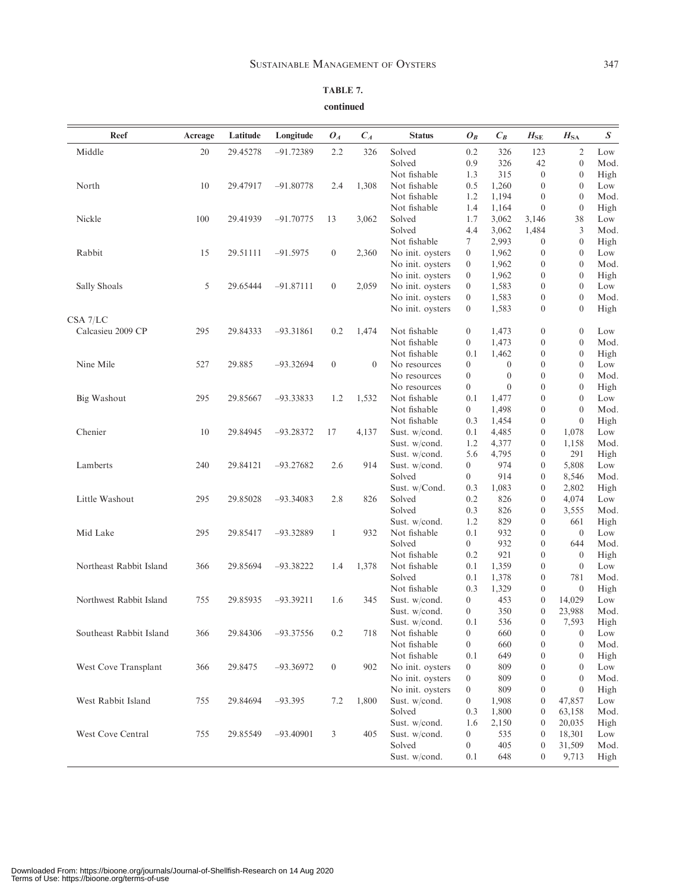| Reef                    | Acreage | Latitude | Longitude   | $O_{A}$          | $C_A$    | <b>Status</b>                  | $O_B$            | $\mathcal{C}_B$ | $H_{\rm SE}$     | $H_{\rm SA}$     | $\boldsymbol{S}$ |
|-------------------------|---------|----------|-------------|------------------|----------|--------------------------------|------------------|-----------------|------------------|------------------|------------------|
| Middle                  | 20      | 29.45278 | $-91.72389$ | 2.2              | 326      | Solved                         | 0.2              | 326             | 123              | $\overline{2}$   | Low              |
|                         |         |          |             |                  |          | Solved                         | 0.9              | 326             | 42               | $\mathbf{0}$     | Mod.             |
|                         |         |          |             |                  |          | Not fishable                   | 1.3              | 315             | $\boldsymbol{0}$ | $\mathbf{0}$     | High             |
| North                   | 10      | 29.47917 | $-91.80778$ | 2.4              | 1,308    | Not fishable                   | 0.5              | 1,260           | $\boldsymbol{0}$ | $\overline{0}$   | Low              |
|                         |         |          |             |                  |          | Not fishable                   | 1.2              | 1,194           | $\theta$         | $\overline{0}$   | Mod.             |
|                         |         |          |             |                  |          | Not fishable                   | 1.4              | 1,164           | $\boldsymbol{0}$ | $\mathbf{0}$     | High             |
| Nickle                  | 100     | 29.41939 | $-91.70775$ | 13               | 3,062    | Solved                         | 1.7              | 3,062           | 3,146            | 38               | Low              |
|                         |         |          |             |                  |          | Solved                         | 4.4              | 3,062           | 1,484            | 3                | Mod.             |
|                         |         |          |             |                  |          | Not fishable                   | 7                | 2,993           | $\boldsymbol{0}$ | $\boldsymbol{0}$ | High             |
| Rabbit                  | 15      | 29.51111 | $-91.5975$  | $\boldsymbol{0}$ | 2,360    | No init. oysters               | $\overline{0}$   | 1,962           | $\boldsymbol{0}$ | $\theta$         | Low              |
|                         |         |          |             |                  |          | No init. oysters               | $\overline{0}$   | 1,962           | $\boldsymbol{0}$ | $\overline{0}$   | Mod.             |
|                         |         |          |             |                  |          | No init. oysters               | $\overline{0}$   | 1,962           | $\boldsymbol{0}$ | $\mathbf{0}$     | High             |
| Sally Shoals            | 5       | 29.65444 | $-91.87111$ | $\boldsymbol{0}$ | 2,059    | No init. oysters               | $\overline{0}$   | 1,583           | $\boldsymbol{0}$ | $\theta$         | Low              |
|                         |         |          |             |                  |          | No init. oysters               | $\overline{0}$   | 1,583           | $\boldsymbol{0}$ | $\overline{0}$   | Mod.             |
|                         |         |          |             |                  |          | No init. oysters               | $\overline{0}$   | 1,583           | $\boldsymbol{0}$ | $\theta$         | High             |
| CSA 7/LC                |         |          |             |                  |          |                                |                  |                 |                  |                  |                  |
| Calcasieu 2009 CP       | 295     | 29.84333 | $-93.31861$ | 0.2              | 1,474    | Not fishable                   | $\overline{0}$   | 1,473           | $\boldsymbol{0}$ | $\theta$         | Low              |
|                         |         |          |             |                  |          | Not fishable                   | $\overline{0}$   | 1,473           | $\boldsymbol{0}$ | $\mathbf{0}$     | Mod.             |
|                         |         |          |             |                  |          | Not fishable                   | 0.1              | 1,462           | $\boldsymbol{0}$ | $\mathbf{0}$     | High             |
| Nine Mile               | 527     | 29.885   | $-93.32694$ | $\boldsymbol{0}$ | $\theta$ | No resources                   | $\overline{0}$   | $\theta$        | $\boldsymbol{0}$ | $\theta$         | Low              |
|                         |         |          |             |                  |          | No resources                   | $\overline{0}$   | $\mathbf{0}$    | $\boldsymbol{0}$ | $\mathbf{0}$     | Mod.             |
|                         |         |          |             |                  |          | No resources                   | $\overline{0}$   | $\mathbf{0}$    | $\boldsymbol{0}$ | $\mathbf{0}$     | High             |
| <b>Big Washout</b>      | 295     | 29.85667 | $-93.33833$ | 1.2              | 1,532    | Not fishable                   | 0.1              | 1,477           | $\boldsymbol{0}$ | $\theta$         | Low              |
|                         |         |          |             |                  |          | Not fishable                   | $\overline{0}$   | 1,498           | $\boldsymbol{0}$ | $\mathbf{0}$     | Mod.             |
|                         |         |          |             |                  |          | Not fishable                   | 0.3              | 1,454           | $\boldsymbol{0}$ | $\mathbf{0}$     | High             |
| Chenier                 | 10      | 29.84945 | $-93.28372$ | 17               | 4,137    | Sust. w/cond.                  | 0.1              | 4,485           | $\boldsymbol{0}$ | 1,078            | Low              |
|                         |         |          |             |                  |          | Sust. w/cond.                  | 1.2              | 4,377           | $\boldsymbol{0}$ | 1,158            | Mod.             |
|                         |         |          |             |                  |          | Sust. w/cond.                  | 5.6              | 4,795           | $\boldsymbol{0}$ | 291              | High             |
| Lamberts                | 240     | 29.84121 | $-93.27682$ | 2.6              | 914      | Sust. w/cond.                  | $\overline{0}$   | 974             | $\boldsymbol{0}$ | 5,808            | Low              |
|                         |         |          |             |                  |          | Solved                         | $\overline{0}$   | 914             | $\boldsymbol{0}$ | 8,546            | Mod.             |
|                         |         |          |             |                  |          | Sust. w/Cond.                  | 0.3              | 1,083           | $\boldsymbol{0}$ | 2,802            | High             |
| Little Washout          | 295     | 29.85028 | $-93.34083$ | 2.8              | 826      | Solved                         | 0.2              | 826             | $\boldsymbol{0}$ | 4,074            | Low              |
|                         |         |          |             |                  |          | Solved                         | 0.3              | 826             | 0                | 3,555            | Mod.             |
|                         |         |          |             |                  |          | Sust. w/cond.                  | 1.2              | 829             | $\overline{0}$   | 661              | High             |
| Mid Lake                | 295     | 29.85417 | $-93.32889$ | 1                | 932      | Not fishable                   | 0.1              | 932             | $\boldsymbol{0}$ | $\theta$         | Low              |
|                         |         |          |             |                  |          | Solved                         | $\overline{0}$   | 932             | $\boldsymbol{0}$ | 644              | Mod.             |
|                         |         |          |             |                  |          | Not fishable                   | 0.2              | 921             | $\boldsymbol{0}$ | $\overline{0}$   | High             |
| Northeast Rabbit Island | 366     | 29.85694 | $-93.38222$ | 1.4              | 1,378    | Not fishable                   | 0.1              | 1,359           | $\boldsymbol{0}$ | $\theta$         | Low              |
|                         |         |          |             |                  |          | Solved                         | 0.1              | 1,378           | $\boldsymbol{0}$ | 781              | Mod.             |
|                         |         |          |             |                  |          | Not fishable                   | 0.3              | 1,329           | $\boldsymbol{0}$ | $\theta$         | High             |
| Northwest Rabbit Island | 755     | 29.85935 | $-93.39211$ | 1.6              | 345      | Sust. w/cond.                  | $\overline{0}$   | 453             | $\boldsymbol{0}$ | 14,029           | Low              |
|                         |         |          |             |                  |          | Sust. w/cond.                  | $\overline{0}$   | 350             | $\boldsymbol{0}$ | 23,988           | Mod.             |
|                         |         |          |             |                  |          | Sust. w/cond.                  | 0.1              | 536             | $\overline{0}$   | 7,593            | High             |
| Southeast Rabbit Island | 366     | 29.84306 | $-93.37556$ | 0.2              | 718      | Not fishable                   | $\overline{0}$   | 660             | $\boldsymbol{0}$ | $\boldsymbol{0}$ | Low              |
|                         |         |          |             |                  |          | Not fishable                   | $\boldsymbol{0}$ | 660             | $\boldsymbol{0}$ | $\mathbf{0}$     | Mod.             |
|                         |         |          |             |                  |          | Not fishable                   | 0.1              | 649             | $\boldsymbol{0}$ | $\boldsymbol{0}$ | High             |
| West Cove Transplant    | 366     | 29.8475  | $-93.36972$ | $\boldsymbol{0}$ | 902      | No init. oysters               | $\boldsymbol{0}$ | 809             | $\boldsymbol{0}$ | $\mathbf{0}$     | Low              |
|                         |         |          |             |                  |          | No init. oysters               | $\boldsymbol{0}$ | 809             | $\boldsymbol{0}$ | $\mathbf{0}$     | Mod.             |
|                         |         |          |             |                  |          | No init. oysters               | $\boldsymbol{0}$ | 809             | $\boldsymbol{0}$ | $\mathbf{0}$     | High             |
| West Rabbit Island      | 755     | 29.84694 | $-93.395$   | 7.2              | 1,800    | Sust. w/cond.                  | $\overline{0}$   | 1,908           | 0                | 47,857           | Low              |
|                         |         |          |             |                  |          | Solved                         | 0.3              | 1,800           | 0                | 63,158           | Mod.             |
|                         |         |          |             |                  |          |                                |                  |                 |                  |                  |                  |
|                         |         |          |             |                  |          | Sust. w/cond.<br>Sust. w/cond. | 1.6              | 2,150           | $\boldsymbol{0}$ | 20,035           | High             |
| West Cove Central       | 755     | 29.85549 | $-93.40901$ | 3                | 405      |                                | $\boldsymbol{0}$ | 535             | $\boldsymbol{0}$ | 18,301           | Low              |
|                         |         |          |             |                  |          | Solved                         | $\overline{0}$   | 405             | $\boldsymbol{0}$ | 31,509           | Mod.             |
|                         |         |          |             |                  |          | Sust. w/cond.                  | 0.1              | 648             | $\boldsymbol{0}$ | 9,713            | High             |

continued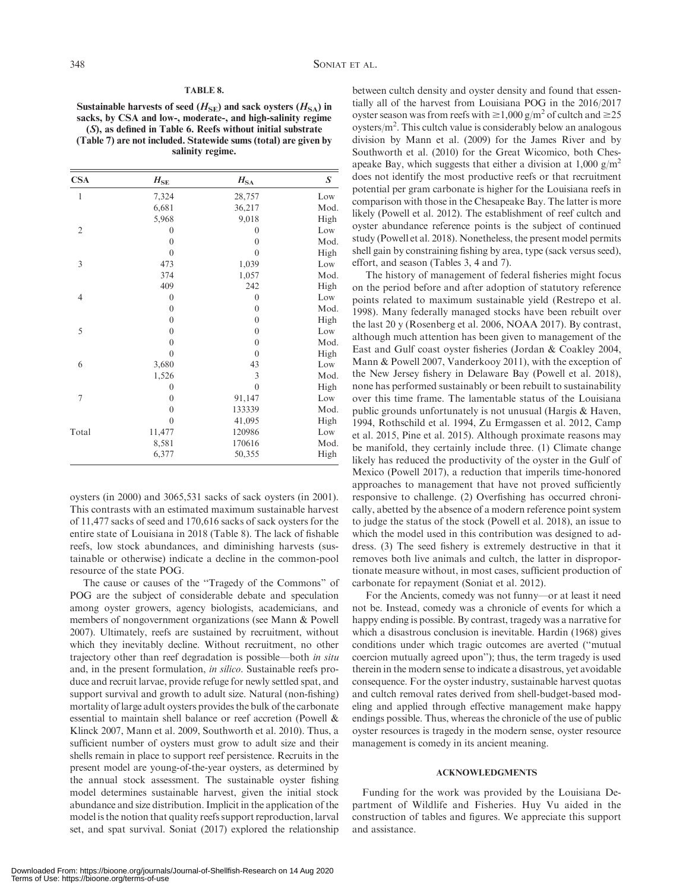### TABLE 8.

Sustainable harvests of seed  $(H_{\text{SE}})$  and sack oysters  $(H_{\text{SA}})$  in sacks, by CSA and low-, moderate-, and high-salinity regime (S), as defined in Table 6. Reefs without initial substrate (Table 7) are not included. Statewide sums (total) are given by salinity regime.

| <b>CSA</b>     | $H_\mathrm{SE}$  | $H_{\rm SA}$   | S    |
|----------------|------------------|----------------|------|
| 1              | 7,324            | 28,757         | Low  |
|                | 6,681            | 36,217         | Mod. |
|                | 5,968            | 9,018          | High |
| $\overline{2}$ | 0                | $\mathbf{0}$   | Low  |
|                | $\overline{0}$   | $\overline{0}$ | Mod. |
|                | $\overline{0}$   | $\overline{0}$ | High |
| 3              | 473              | 1,039          | Low  |
|                | 374              | 1,057          | Mod. |
|                | 409              | 242            | High |
| 4              | $\overline{0}$   | $\overline{0}$ | Low  |
|                | $\mathbf{0}$     | $\mathbf{0}$   | Mod. |
|                | $\mathbf{0}$     | $\overline{0}$ | High |
| 5              | $\boldsymbol{0}$ | $\mathbf{0}$   | Low  |
|                | $\overline{0}$   | $\theta$       | Mod. |
|                | $\overline{0}$   | $\overline{0}$ | High |
| 6              | 3,680            | 43             | Low  |
|                | 1,526            | 3              | Mod. |
|                | 0                | $\overline{0}$ | High |
| 7              | $\mathbf{0}$     | 91,147         | Low  |
|                | $\overline{0}$   | 133339         | Mod. |
|                | $\overline{0}$   | 41,095         | High |
| Total          | 11,477           | 120986         | Low  |
|                | 8,581            | 170616         | Mod. |
|                | 6,377            | 50,355         | High |
|                |                  |                |      |

oysters (in 2000) and 3065,531 sacks of sack oysters (in 2001). This contrasts with an estimated maximum sustainable harvest of 11,477 sacks of seed and 170,616 sacks of sack oysters for the entire state of Louisiana in 2018 (Table 8). The lack of fishable reefs, low stock abundances, and diminishing harvests (sustainable or otherwise) indicate a decline in the common-pool resource of the state POG.

The cause or causes of the ''Tragedy of the Commons'' of POG are the subject of considerable debate and speculation among oyster growers, agency biologists, academicians, and members of nongovernment organizations (see Mann & Powell 2007). Ultimately, reefs are sustained by recruitment, without which they inevitably decline. Without recruitment, no other trajectory other than reef degradation is possible—both in situ and, in the present formulation, in silico. Sustainable reefs produce and recruit larvae, provide refuge for newly settled spat, and support survival and growth to adult size. Natural (non-fishing) mortality of large adult oysters provides the bulk of the carbonate essential to maintain shell balance or reef accretion (Powell & Klinck 2007, Mann et al. 2009, Southworth et al. 2010). Thus, a sufficient number of oysters must grow to adult size and their shells remain in place to support reef persistence. Recruits in the present model are young-of-the-year oysters, as determined by the annual stock assessment. The sustainable oyster fishing model determines sustainable harvest, given the initial stock abundance and size distribution. Implicit in the application of the model is the notion that quality reefs support reproduction, larval set, and spat survival. Soniat (2017) explored the relationship between cultch density and oyster density and found that essentially all of the harvest from Louisiana POG in the 2016/2017 oyster season was from reefs with  $\geq 1,000$  g/m<sup>2</sup> of cultch and  $\geq 25$ oysters/ $m^2$ . This cultch value is considerably below an analogous division by Mann et al. (2009) for the James River and by Southworth et al. (2010) for the Great Wicomico, both Chesapeake Bay, which suggests that either a division at  $1,000 \text{ g/m}^2$ does not identify the most productive reefs or that recruitment potential per gram carbonate is higher for the Louisiana reefs in comparison with those in the Chesapeake Bay. The latter is more likely (Powell et al. 2012). The establishment of reef cultch and oyster abundance reference points is the subject of continued study (Powell et al. 2018). Nonetheless, the present model permits shell gain by constraining fishing by area, type (sack versus seed), effort, and season (Tables 3, 4 and 7).

The history of management of federal fisheries might focus on the period before and after adoption of statutory reference points related to maximum sustainable yield (Restrepo et al. 1998). Many federally managed stocks have been rebuilt over the last 20 y (Rosenberg et al. 2006, NOAA 2017). By contrast, although much attention has been given to management of the East and Gulf coast oyster fisheries (Jordan & Coakley 2004, Mann & Powell 2007, Vanderkooy 2011), with the exception of the New Jersey fishery in Delaware Bay (Powell et al. 2018), none has performed sustainably or been rebuilt to sustainability over this time frame. The lamentable status of the Louisiana public grounds unfortunately is not unusual (Hargis & Haven, 1994, Rothschild et al. 1994, Zu Ermgassen et al. 2012, Camp et al. 2015, Pine et al. 2015). Although proximate reasons may be manifold, they certainly include three. (1) Climate change likely has reduced the productivity of the oyster in the Gulf of Mexico (Powell 2017), a reduction that imperils time-honored approaches to management that have not proved sufficiently responsive to challenge. (2) Overfishing has occurred chronically, abetted by the absence of a modern reference point system to judge the status of the stock (Powell et al. 2018), an issue to which the model used in this contribution was designed to address. (3) The seed fishery is extremely destructive in that it removes both live animals and cultch, the latter in disproportionate measure without, in most cases, sufficient production of carbonate for repayment (Soniat et al. 2012).

For the Ancients, comedy was not funny—or at least it need not be. Instead, comedy was a chronicle of events for which a happy ending is possible. By contrast, tragedy was a narrative for which a disastrous conclusion is inevitable. Hardin (1968) gives conditions under which tragic outcomes are averted (''mutual coercion mutually agreed upon''); thus, the term tragedy is used therein in the modern sense to indicate a disastrous, yet avoidable consequence. For the oyster industry, sustainable harvest quotas and cultch removal rates derived from shell-budget-based modeling and applied through effective management make happy endings possible. Thus, whereas the chronicle of the use of public oyster resources is tragedy in the modern sense, oyster resource management is comedy in its ancient meaning.

#### ACKNOWLEDGMENTS

Funding for the work was provided by the Louisiana Department of Wildlife and Fisheries. Huy Vu aided in the construction of tables and figures. We appreciate this support and assistance.